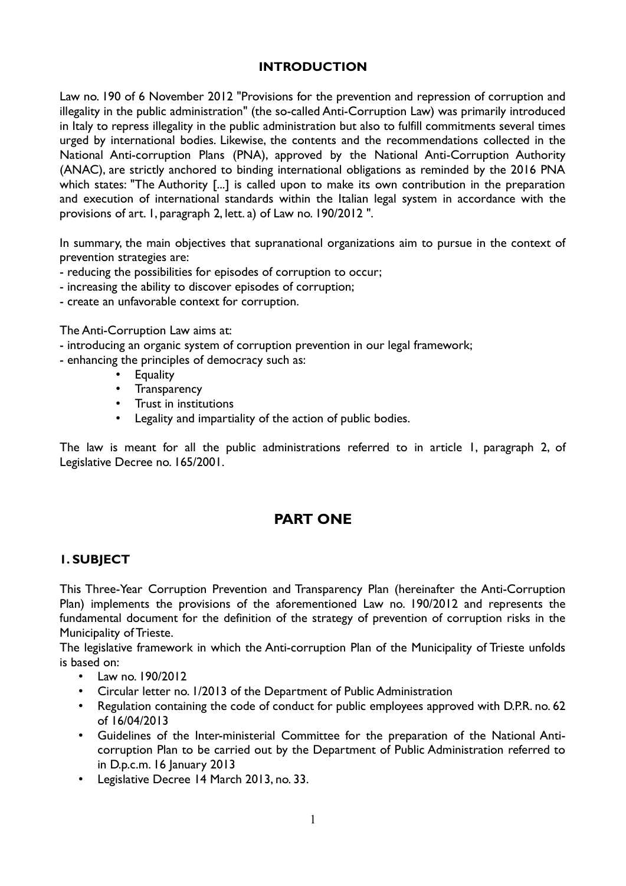### **INTRODUCTION**

Law no. 190 of 6 November 2012 "Provisions for the prevention and repression of corruption and illegality in the public administration" (the so-called Anti-Corruption Law) was primarily introduced in Italy to repress illegality in the public administration but also to fulfill commitments several times urged by international bodies. Likewise, the contents and the recommendations collected in the National Anti-corruption Plans (PNA), approved by the National Anti-Corruption Authority (ANAC), are strictly anchored to binding international obligations as reminded by the 2016 PNA which states: "The Authority [...] is called upon to make its own contribution in the preparation and execution of international standards within the Italian legal system in accordance with the provisions of art. 1, paragraph 2, lett. a) of Law no. 190/2012 ".

In summary, the main objectives that supranational organizations aim to pursue in the context of prevention strategies are:

- reducing the possibilities for episodes of corruption to occur;
- increasing the ability to discover episodes of corruption;
- create an unfavorable context for corruption.

The Anti-Corruption Law aims at:

- introducing an organic system of corruption prevention in our legal framework;
- enhancing the principles of democracy such as:
	- **Equality**
	- Transparency
	- Trust in institutions
	- Legality and impartiality of the action of public bodies.

The law is meant for all the public administrations referred to in article 1, paragraph 2, of Legislative Decree no. 165/2001.

# **PART ONE**

### **1. SUBJECT**

This Three-Year Corruption Prevention and Transparency Plan (hereinafter the Anti-Corruption Plan) implements the provisions of the aforementioned Law no. 190/2012 and represents the fundamental document for the definition of the strategy of prevention of corruption risks in the Municipality of Trieste.

The legislative framework in which the Anti-corruption Plan of the Municipality of Trieste unfolds is based on:

- Law no. 190/2012
- Circular letter no. 1/2013 of the Department of Public Administration
- Regulation containing the code of conduct for public employees approved with D.P.R. no. 62 of 16/04/2013
- Guidelines of the Inter-ministerial Committee for the preparation of the National Anticorruption Plan to be carried out by the Department of Public Administration referred to in D.p.c.m. 16 January 2013
- Legislative Decree 14 March 2013, no. 33.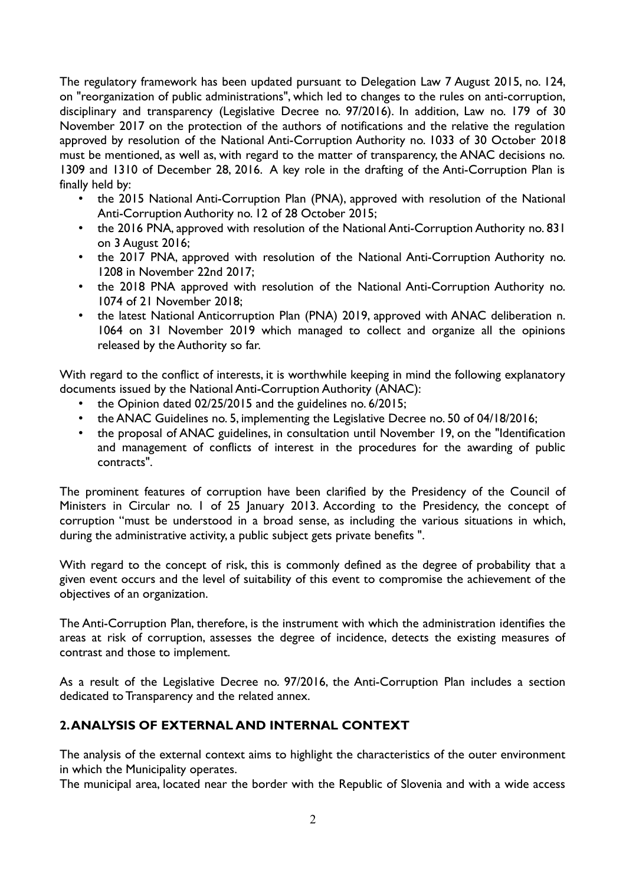The regulatory framework has been updated pursuant to Delegation Law 7 August 2015, no. 124, on "reorganization of public administrations", which led to changes to the rules on anti-corruption, disciplinary and transparency (Legislative Decree no. 97/2016). In addition, Law no. 179 of 30 November 2017 on the protection of the authors of notifications and the relative the regulation approved by resolution of the National Anti-Corruption Authority no. 1033 of 30 October 2018 must be mentioned, as well as, with regard to the matter of transparency, the ANAC decisions no. 1309 and 1310 of December 28, 2016. A key role in the drafting of the Anti-Corruption Plan is finally held by:

- the 2015 National Anti-Corruption Plan (PNA), approved with resolution of the National Anti-Corruption Authority no. 12 of 28 October 2015;
- the 2016 PNA, approved with resolution of the National Anti-Corruption Authority no. 831 on 3 August 2016;
- the 2017 PNA, approved with resolution of the National Anti-Corruption Authority no. 1208 in November 22nd 2017;
- the 2018 PNA approved with resolution of the National Anti-Corruption Authority no. 1074 of 21 November 2018;
- the latest National Anticorruption Plan (PNA) 2019, approved with ANAC deliberation n. 1064 on 31 November 2019 which managed to collect and organize all the opinions released by the Authority so far.

With regard to the conflict of interests, it is worthwhile keeping in mind the following explanatory documents issued by the National Anti-Corruption Authority (ANAC):

- the Opinion dated 02/25/2015 and the guidelines no. 6/2015;
- the ANAC Guidelines no. 5, implementing the Legislative Decree no. 50 of 04/18/2016;
- the proposal of ANAC guidelines, in consultation until November 19, on the "Identification and management of conflicts of interest in the procedures for the awarding of public contracts".

The prominent features of corruption have been clarified by the Presidency of the Council of Ministers in Circular no. 1 of 25 January 2013. According to the Presidency, the concept of corruption "must be understood in a broad sense, as including the various situations in which, during the administrative activity, a public subject gets private benefits ".

With regard to the concept of risk, this is commonly defined as the degree of probability that a given event occurs and the level of suitability of this event to compromise the achievement of the objectives of an organization.

The Anti-Corruption Plan, therefore, is the instrument with which the administration identifies the areas at risk of corruption, assesses the degree of incidence, detects the existing measures of contrast and those to implement.

As a result of the Legislative Decree no. 97/2016, the Anti-Corruption Plan includes a section dedicated to Transparency and the related annex.

# **2. ANALYSIS OF EXTERNAL AND INTERNAL CONTEXT**

The analysis of the external context aims to highlight the characteristics of the outer environment in which the Municipality operates.

The municipal area, located near the border with the Republic of Slovenia and with a wide access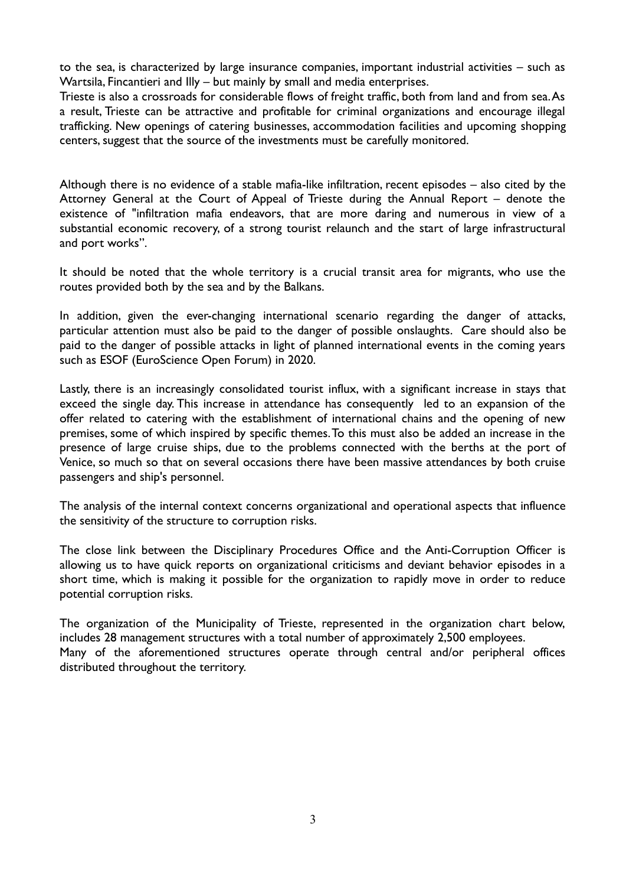to the sea, is characterized by large insurance companies, important industrial activities – such as Wartsila, Fincantieri and Illy – but mainly by small and media enterprises.

Trieste is also a crossroads for considerable flows of freight traffic, both from land and from sea. As a result, Trieste can be attractive and profitable for criminal organizations and encourage illegal trafficking. New openings of catering businesses, accommodation facilities and upcoming shopping centers, suggest that the source of the investments must be carefully monitored.

Although there is no evidence of a stable mafia-like infiltration, recent episodes – also cited by the Attorney General at the Court of Appeal of Trieste during the Annual Report – denote the existence of "infiltration mafia endeavors, that are more daring and numerous in view of a substantial economic recovery, of a strong tourist relaunch and the start of large infrastructural and port works".

It should be noted that the whole territory is a crucial transit area for migrants, who use the routes provided both by the sea and by the Balkans.

In addition, given the ever-changing international scenario regarding the danger of attacks, particular attention must also be paid to the danger of possible onslaughts. Care should also be paid to the danger of possible attacks in light of planned international events in the coming years such as ESOF (EuroScience Open Forum) in 2020.

Lastly, there is an increasingly consolidated tourist influx, with a significant increase in stays that exceed the single day. This increase in attendance has consequently led to an expansion of the offer related to catering with the establishment of international chains and the opening of new premises, some of which inspired by specific themes. To this must also be added an increase in the presence of large cruise ships, due to the problems connected with the berths at the port of Venice, so much so that on several occasions there have been massive attendances by both cruise passengers and ship's personnel.

The analysis of the internal context concerns organizational and operational aspects that influence the sensitivity of the structure to corruption risks.

The close link between the Disciplinary Procedures Office and the Anti-Corruption Officer is allowing us to have quick reports on organizational criticisms and deviant behavior episodes in a short time, which is making it possible for the organization to rapidly move in order to reduce potential corruption risks.

The organization of the Municipality of Trieste, represented in the organization chart below, includes 28 management structures with a total number of approximately 2,500 employees. Many of the aforementioned structures operate through central and/or peripheral offices distributed throughout the territory.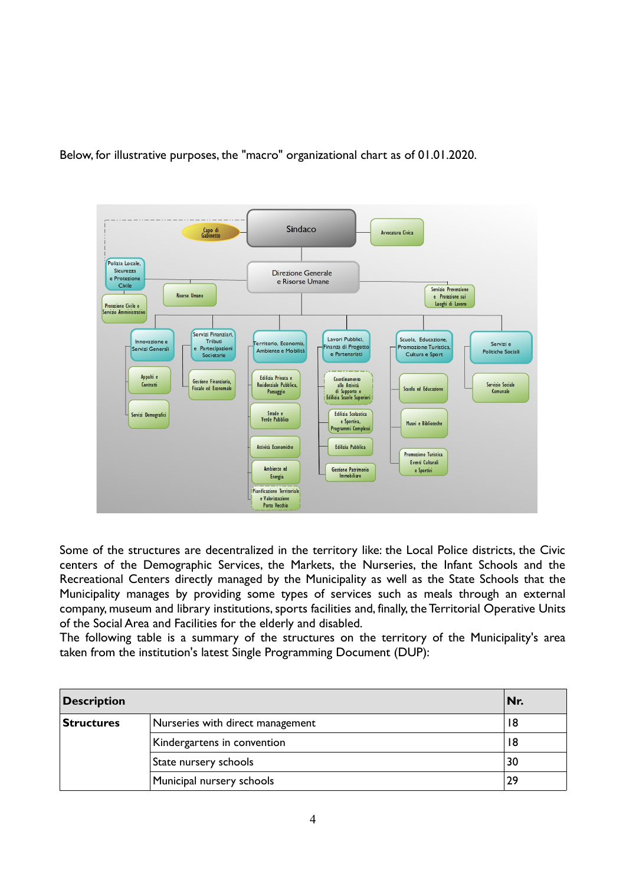Below, for illustrative purposes, the "macro" organizational chart as of 01.01.2020.



Some of the structures are decentralized in the territory like: the Local Police districts, the Civic centers of the Demographic Services, the Markets, the Nurseries, the Infant Schools and the Recreational Centers directly managed by the Municipality as well as the State Schools that the Municipality manages by providing some types of services such as meals through an external company, museum and library institutions, sports facilities and, finally, the Territorial Operative Units of the Social Area and Facilities for the elderly and disabled.

The following table is a summary of the structures on the territory of the Municipality's area taken from the institution's latest Single Programming Document (DUP):

| <b>Description</b> |                                  | Nr. |
|--------------------|----------------------------------|-----|
| <b>Structures</b>  | Nurseries with direct management | 18  |
|                    | Kindergartens in convention      | 18  |
|                    | State nursery schools            | 30  |
|                    | Municipal nursery schools        | 29  |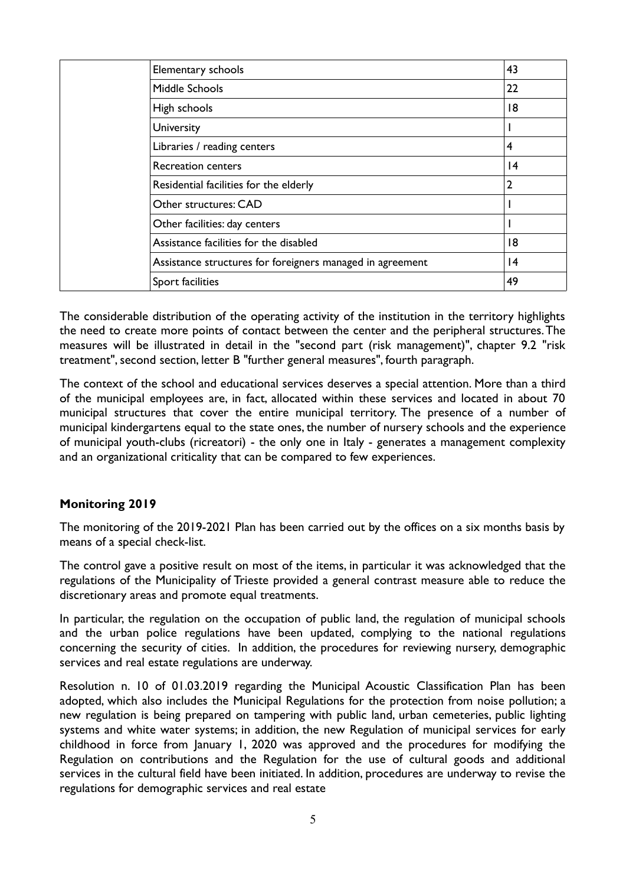|  | Elementary schools                                        | 43              |
|--|-----------------------------------------------------------|-----------------|
|  | Middle Schools                                            | 22              |
|  | High schools                                              | 18              |
|  | University                                                |                 |
|  | Libraries / reading centers                               | 4               |
|  | <b>Recreation centers</b>                                 | 4               |
|  | Residential facilities for the elderly                    | 2               |
|  | Other structures: CAD                                     |                 |
|  | Other facilities: day centers                             |                 |
|  | Assistance facilities for the disabled                    | 18              |
|  | Assistance structures for foreigners managed in agreement | $\overline{14}$ |
|  | Sport facilities                                          | 49              |

The considerable distribution of the operating activity of the institution in the territory highlights the need to create more points of contact between the center and the peripheral structures. The measures will be illustrated in detail in the "second part (risk management)", chapter 9.2 "risk treatment", second section, letter B "further general measures", fourth paragraph.

The context of the school and educational services deserves a special attention. More than a third of the municipal employees are, in fact, allocated within these services and located in about 70 municipal structures that cover the entire municipal territory. The presence of a number of municipal kindergartens equal to the state ones, the number of nursery schools and the experience of municipal youth-clubs (ricreatori) - the only one in Italy - generates a management complexity and an organizational criticality that can be compared to few experiences.

### **Monitoring 2019**

The monitoring of the 2019-2021 Plan has been carried out by the offices on a six months basis by means of a special check-list.

The control gave a positive result on most of the items, in particular it was acknowledged that the regulations of the Municipality of Trieste provided a general contrast measure able to reduce the discretionary areas and promote equal treatments.

In particular, the regulation on the occupation of public land, the regulation of municipal schools and the urban police regulations have been updated, complying to the national regulations concerning the security of cities. In addition, the procedures for reviewing nursery, demographic services and real estate regulations are underway.

Resolution n. 10 of 01.03.2019 regarding the Municipal Acoustic Classification Plan has been adopted, which also includes the Municipal Regulations for the protection from noise pollution; a new regulation is being prepared on tampering with public land, urban cemeteries, public lighting systems and white water systems; in addition, the new Regulation of municipal services for early childhood in force from January 1, 2020 was approved and the procedures for modifying the Regulation on contributions and the Regulation for the use of cultural goods and additional services in the cultural field have been initiated. In addition, procedures are underway to revise the regulations for demographic services and real estate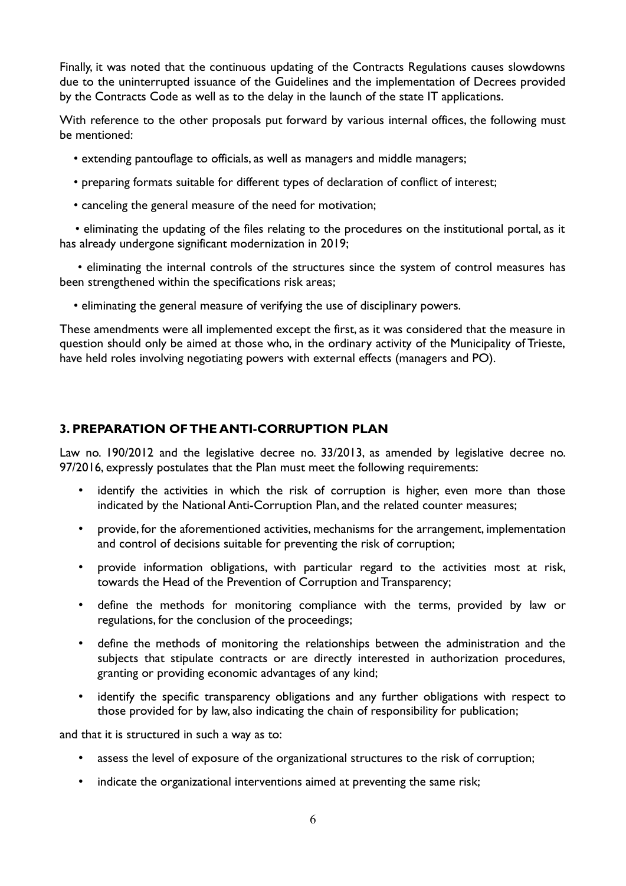Finally, it was noted that the continuous updating of the Contracts Regulations causes slowdowns due to the uninterrupted issuance of the Guidelines and the implementation of Decrees provided by the Contracts Code as well as to the delay in the launch of the state IT applications.

With reference to the other proposals put forward by various internal offices, the following must be mentioned:

- extending pantouflage to officials, as well as managers and middle managers;
- preparing formats suitable for different types of declaration of conflict of interest;
- canceling the general measure of the need for motivation;

 • eliminating the updating of the files relating to the procedures on the institutional portal, as it has already undergone significant modernization in 2019;

 • eliminating the internal controls of the structures since the system of control measures has been strengthened within the specifications risk areas;

• eliminating the general measure of verifying the use of disciplinary powers.

These amendments were all implemented except the first, as it was considered that the measure in question should only be aimed at those who, in the ordinary activity of the Municipality of Trieste, have held roles involving negotiating powers with external effects (managers and PO).

# **3. PREPARATION OF THE ANTI-CORRUPTION PLAN**

Law no. 190/2012 and the legislative decree no. 33/2013, as amended by legislative decree no. 97/2016, expressly postulates that the Plan must meet the following requirements:

- identify the activities in which the risk of corruption is higher, even more than those indicated by the National Anti-Corruption Plan, and the related counter measures;
- provide, for the aforementioned activities, mechanisms for the arrangement, implementation and control of decisions suitable for preventing the risk of corruption;
- provide information obligations, with particular regard to the activities most at risk, towards the Head of the Prevention of Corruption and Transparency;
- define the methods for monitoring compliance with the terms, provided by law or regulations, for the conclusion of the proceedings;
- define the methods of monitoring the relationships between the administration and the subjects that stipulate contracts or are directly interested in authorization procedures, granting or providing economic advantages of any kind;
- identify the specific transparency obligations and any further obligations with respect to those provided for by law, also indicating the chain of responsibility for publication;

and that it is structured in such a way as to:

- assess the level of exposure of the organizational structures to the risk of corruption;
- indicate the organizational interventions aimed at preventing the same risk;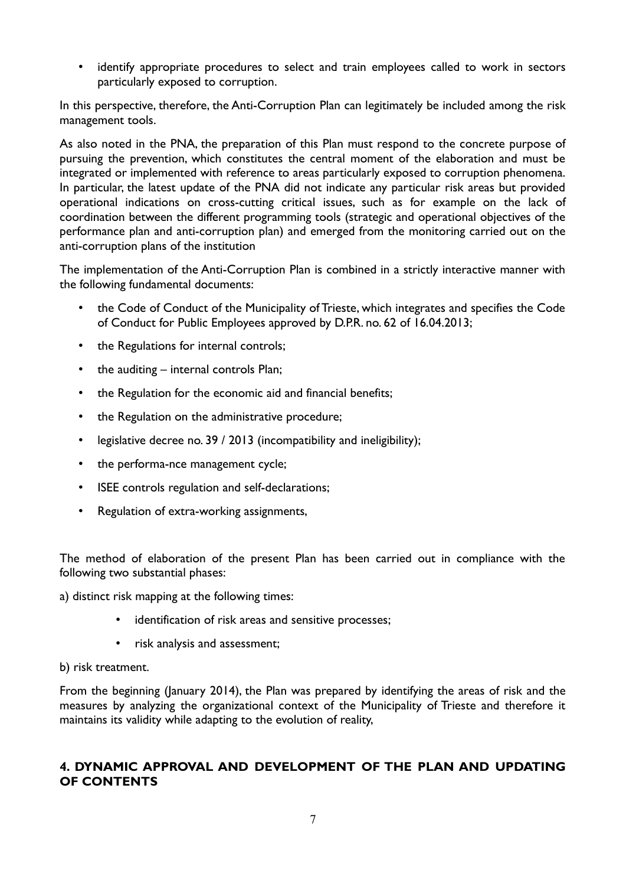• identify appropriate procedures to select and train employees called to work in sectors particularly exposed to corruption.

In this perspective, therefore, the Anti-Corruption Plan can legitimately be included among the risk management tools.

As also noted in the PNA, the preparation of this Plan must respond to the concrete purpose of pursuing the prevention, which constitutes the central moment of the elaboration and must be integrated or implemented with reference to areas particularly exposed to corruption phenomena. In particular, the latest update of the PNA did not indicate any particular risk areas but provided operational indications on cross-cutting critical issues, such as for example on the lack of coordination between the different programming tools (strategic and operational objectives of the performance plan and anti-corruption plan) and emerged from the monitoring carried out on the anti-corruption plans of the institution

The implementation of the Anti-Corruption Plan is combined in a strictly interactive manner with the following fundamental documents:

- the Code of Conduct of the Municipality of Trieste, which integrates and specifies the Code of Conduct for Public Employees approved by D.P.R. no. 62 of 16.04.2013;
- the Regulations for internal controls;
- the auditing  $-$  internal controls Plan;
- the Regulation for the economic aid and financial benefits;
- the Regulation on the administrative procedure;
- legislative decree no. 39 / 2013 (incompatibility and ineligibility);
- the performa-nce management cycle;
- ISEE controls regulation and self-declarations;
- Regulation of extra-working assignments,

The method of elaboration of the present Plan has been carried out in compliance with the following two substantial phases:

a) distinct risk mapping at the following times:

- identification of risk areas and sensitive processes;
- risk analysis and assessment;
- b) risk treatment.

From the beginning (January 2014), the Plan was prepared by identifying the areas of risk and the measures by analyzing the organizational context of the Municipality of Trieste and therefore it maintains its validity while adapting to the evolution of reality,

# **4. DYNAMIC APPROVAL AND DEVELOPMENT OF THE PLAN AND UPDATING OF CONTENTS**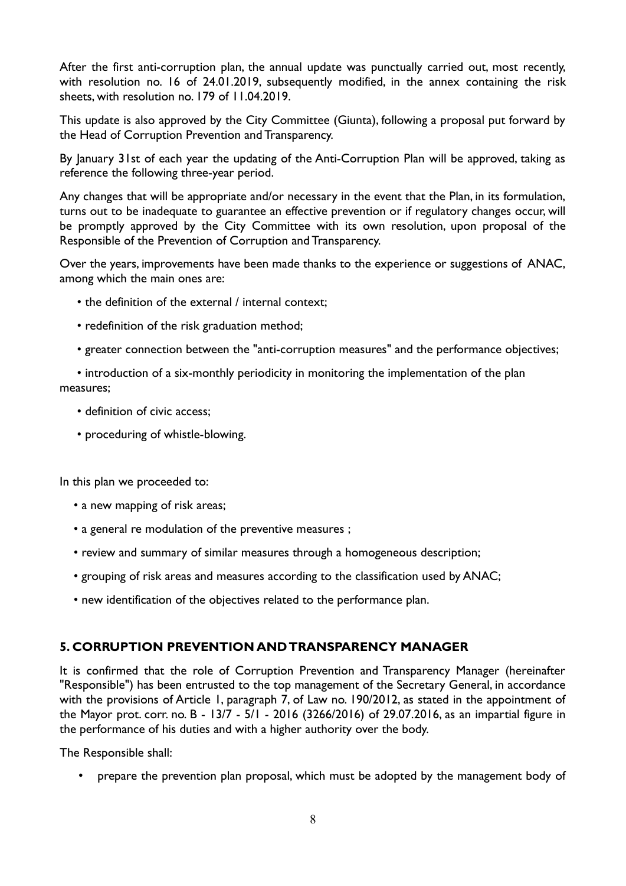After the first anti-corruption plan, the annual update was punctually carried out, most recently, with resolution no. 16 of 24.01.2019, subsequently modified, in the annex containing the risk sheets, with resolution no. 179 of 11.04.2019.

This update is also approved by the City Committee (Giunta), following a proposal put forward by the Head of Corruption Prevention and Transparency.

By January 31st of each year the updating of the Anti-Corruption Plan will be approved, taking as reference the following three-year period.

Any changes that will be appropriate and/or necessary in the event that the Plan, in its formulation, turns out to be inadequate to guarantee an effective prevention or if regulatory changes occur, will be promptly approved by the City Committee with its own resolution, upon proposal of the Responsible of the Prevention of Corruption and Transparency.

Over the years, improvements have been made thanks to the experience or suggestions of ANAC, among which the main ones are:

- the definition of the external / internal context;
- redefinition of the risk graduation method;
- greater connection between the "anti-corruption measures" and the performance objectives;
- introduction of a six-monthly periodicity in monitoring the implementation of the plan measures;
	- definition of civic access;
	- proceduring of whistle-blowing.

In this plan we proceeded to:

- a new mapping of risk areas;
- a general re modulation of the preventive measures ;
- review and summary of similar measures through a homogeneous description;
- grouping of risk areas and measures according to the classification used by ANAC;
- new identification of the objectives related to the performance plan.

#### **5. CORRUPTION PREVENTION AND TRANSPARENCY MANAGER**

It is confirmed that the role of Corruption Prevention and Transparency Manager (hereinafter "Responsible") has been entrusted to the top management of the Secretary General, in accordance with the provisions of Article 1, paragraph 7, of Law no. 190/2012, as stated in the appointment of the Mayor prot. corr. no. B - 13/7 - 5/1 - 2016 (3266/2016) of 29.07.2016, as an impartial figure in the performance of his duties and with a higher authority over the body.

The Responsible shall:

• prepare the prevention plan proposal, which must be adopted by the management body of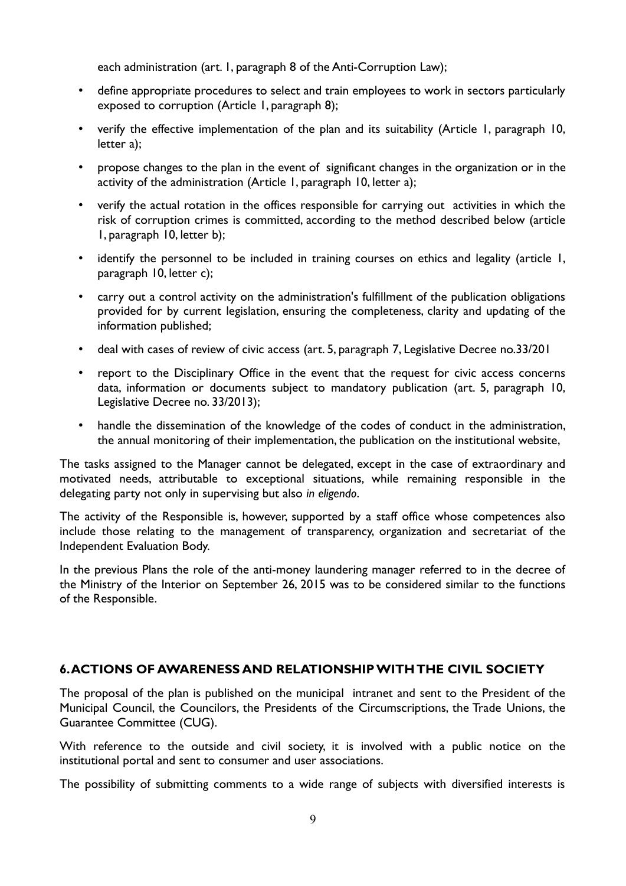each administration (art. 1, paragraph 8 of the Anti-Corruption Law);

- define appropriate procedures to select and train employees to work in sectors particularly exposed to corruption (Article 1, paragraph 8);
- verify the effective implementation of the plan and its suitability (Article 1, paragraph 10, letter a);
- propose changes to the plan in the event of significant changes in the organization or in the activity of the administration (Article 1, paragraph 10, letter a);
- verify the actual rotation in the offices responsible for carrying out activities in which the risk of corruption crimes is committed, according to the method described below (article 1, paragraph 10, letter b);
- identify the personnel to be included in training courses on ethics and legality (article 1, paragraph 10, letter c);
- carry out a control activity on the administration's fulfillment of the publication obligations provided for by current legislation, ensuring the completeness, clarity and updating of the information published;
- deal with cases of review of civic access (art. 5, paragraph 7, Legislative Decree no.33/201
- report to the Disciplinary Office in the event that the request for civic access concerns data, information or documents subject to mandatory publication (art. 5, paragraph 10, Legislative Decree no. 33/2013);
- handle the dissemination of the knowledge of the codes of conduct in the administration, the annual monitoring of their implementation, the publication on the institutional website,

The tasks assigned to the Manager cannot be delegated, except in the case of extraordinary and motivated needs, attributable to exceptional situations, while remaining responsible in the delegating party not only in supervising but also *in eligendo*.

The activity of the Responsible is, however, supported by a staff office whose competences also include those relating to the management of transparency, organization and secretariat of the Independent Evaluation Body.

In the previous Plans the role of the anti-money laundering manager referred to in the decree of the Ministry of the Interior on September 26, 2015 was to be considered similar to the functions of the Responsible.

### **6. ACTIONS OF AWARENESS AND RELATIONSHIP WITH THE CIVIL SOCIETY**

The proposal of the plan is published on the municipal intranet and sent to the President of the Municipal Council, the Councilors, the Presidents of the Circumscriptions, the Trade Unions, the Guarantee Committee (CUG).

With reference to the outside and civil society, it is involved with a public notice on the institutional portal and sent to consumer and user associations.

The possibility of submitting comments to a wide range of subjects with diversified interests is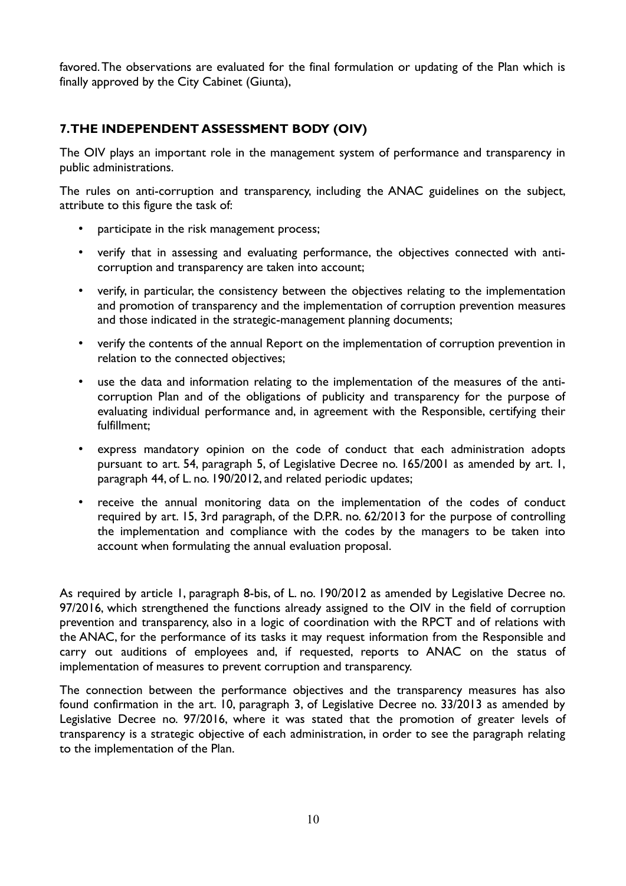favored. The observations are evaluated for the final formulation or updating of the Plan which is finally approved by the City Cabinet (Giunta),

# **7. THE INDEPENDENT ASSESSMENT BODY (OIV)**

The OIV plays an important role in the management system of performance and transparency in public administrations.

The rules on anti-corruption and transparency, including the ANAC guidelines on the subject, attribute to this figure the task of:

- participate in the risk management process;
- verify that in assessing and evaluating performance, the objectives connected with anticorruption and transparency are taken into account;
- verify, in particular, the consistency between the objectives relating to the implementation and promotion of transparency and the implementation of corruption prevention measures and those indicated in the strategic-management planning documents;
- verify the contents of the annual Report on the implementation of corruption prevention in relation to the connected objectives;
- use the data and information relating to the implementation of the measures of the anticorruption Plan and of the obligations of publicity and transparency for the purpose of evaluating individual performance and, in agreement with the Responsible, certifying their fulfillment;
- express mandatory opinion on the code of conduct that each administration adopts pursuant to art. 54, paragraph 5, of Legislative Decree no. 165/2001 as amended by art. 1, paragraph 44, of L. no. 190/2012, and related periodic updates;
- receive the annual monitoring data on the implementation of the codes of conduct required by art. 15, 3rd paragraph, of the D.P.R. no. 62/2013 for the purpose of controlling the implementation and compliance with the codes by the managers to be taken into account when formulating the annual evaluation proposal.

As required by article 1, paragraph 8-bis, of L. no. 190/2012 as amended by Legislative Decree no. 97/2016, which strengthened the functions already assigned to the OIV in the field of corruption prevention and transparency, also in a logic of coordination with the RPCT and of relations with the ANAC, for the performance of its tasks it may request information from the Responsible and carry out auditions of employees and, if requested, reports to ANAC on the status of implementation of measures to prevent corruption and transparency.

The connection between the performance objectives and the transparency measures has also found confirmation in the art. 10, paragraph 3, of Legislative Decree no. 33/2013 as amended by Legislative Decree no. 97/2016, where it was stated that the promotion of greater levels of transparency is a strategic objective of each administration, in order to see the paragraph relating to the implementation of the Plan.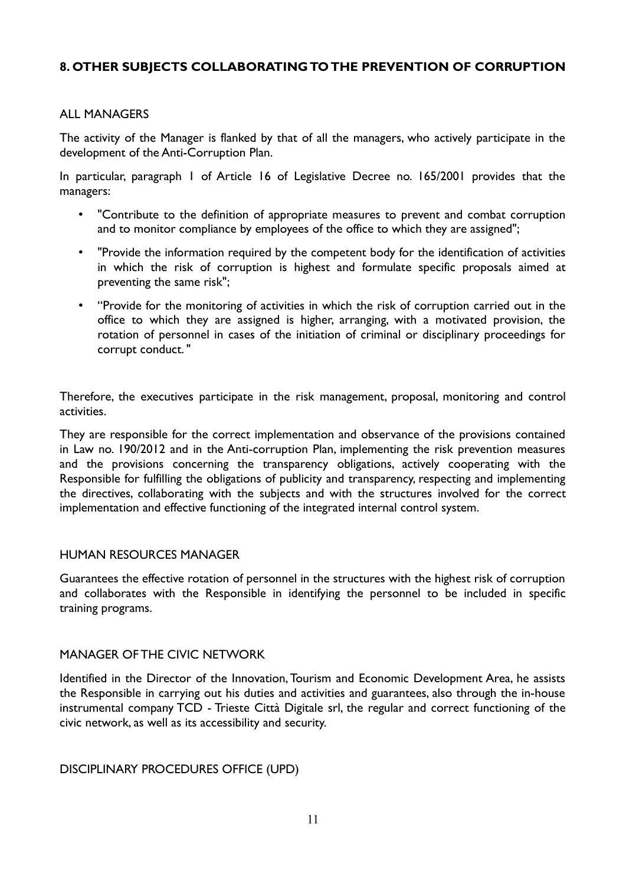# **8. OTHER SUBJECTS COLLABORATING TO THE PREVENTION OF CORRUPTION**

#### ALL MANAGERS

The activity of the Manager is flanked by that of all the managers, who actively participate in the development of the Anti-Corruption Plan.

In particular, paragraph 1 of Article 16 of Legislative Decree no. 165/2001 provides that the managers:

- "Contribute to the definition of appropriate measures to prevent and combat corruption and to monitor compliance by employees of the office to which they are assigned";
- "Provide the information required by the competent body for the identification of activities in which the risk of corruption is highest and formulate specific proposals aimed at preventing the same risk";
- "Provide for the monitoring of activities in which the risk of corruption carried out in the office to which they are assigned is higher, arranging, with a motivated provision, the rotation of personnel in cases of the initiation of criminal or disciplinary proceedings for corrupt conduct. "

Therefore, the executives participate in the risk management, proposal, monitoring and control activities.

They are responsible for the correct implementation and observance of the provisions contained in Law no. 190/2012 and in the Anti-corruption Plan, implementing the risk prevention measures and the provisions concerning the transparency obligations, actively cooperating with the Responsible for fulfilling the obligations of publicity and transparency, respecting and implementing the directives, collaborating with the subjects and with the structures involved for the correct implementation and effective functioning of the integrated internal control system.

#### HUMAN RESOURCES MANAGER

Guarantees the effective rotation of personnel in the structures with the highest risk of corruption and collaborates with the Responsible in identifying the personnel to be included in specific training programs.

#### MANAGER OF THE CIVIC NETWORK

Identified in the Director of the Innovation, Tourism and Economic Development Area, he assists the Responsible in carrying out his duties and activities and guarantees, also through the in-house instrumental company TCD - Trieste Città Digitale srl, the regular and correct functioning of the civic network, as well as its accessibility and security.

DISCIPLINARY PROCEDURES OFFICE (UPD)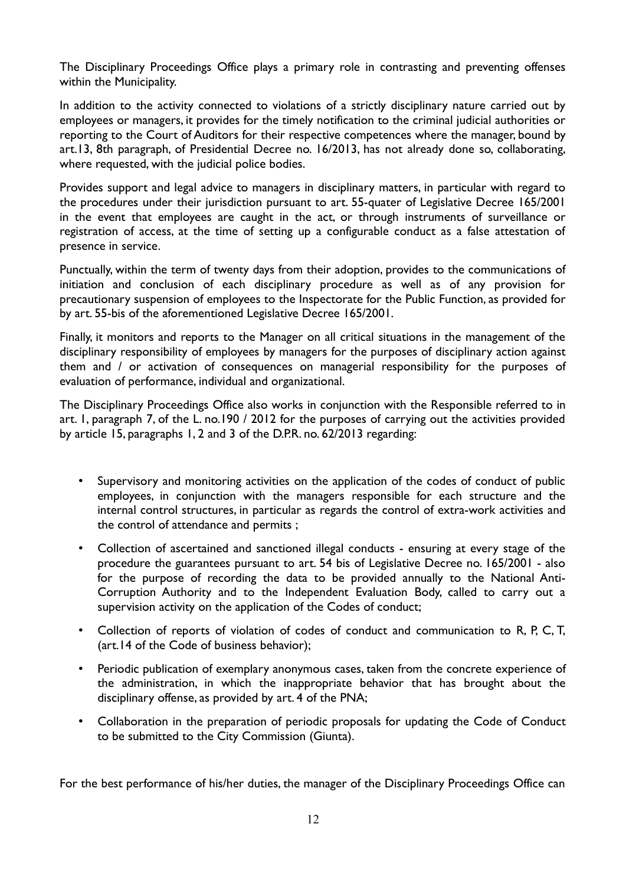The Disciplinary Proceedings Office plays a primary role in contrasting and preventing offenses within the Municipality.

In addition to the activity connected to violations of a strictly disciplinary nature carried out by employees or managers, it provides for the timely notification to the criminal judicial authorities or reporting to the Court of Auditors for their respective competences where the manager, bound by art.13, 8th paragraph, of Presidential Decree no. 16/2013, has not already done so, collaborating, where requested, with the judicial police bodies.

Provides support and legal advice to managers in disciplinary matters, in particular with regard to the procedures under their jurisdiction pursuant to art. 55-quater of Legislative Decree 165/2001 in the event that employees are caught in the act, or through instruments of surveillance or registration of access, at the time of setting up a configurable conduct as a false attestation of presence in service.

Punctually, within the term of twenty days from their adoption, provides to the communications of initiation and conclusion of each disciplinary procedure as well as of any provision for precautionary suspension of employees to the Inspectorate for the Public Function, as provided for by art. 55-bis of the aforementioned Legislative Decree 165/2001.

Finally, it monitors and reports to the Manager on all critical situations in the management of the disciplinary responsibility of employees by managers for the purposes of disciplinary action against them and / or activation of consequences on managerial responsibility for the purposes of evaluation of performance, individual and organizational.

The Disciplinary Proceedings Office also works in conjunction with the Responsible referred to in art. 1, paragraph 7, of the L. no.190 / 2012 for the purposes of carrying out the activities provided by article 15, paragraphs 1, 2 and 3 of the D.P.R. no. 62/2013 regarding:

- Supervisory and monitoring activities on the application of the codes of conduct of public employees, in conjunction with the managers responsible for each structure and the internal control structures, in particular as regards the control of extra-work activities and the control of attendance and permits ;
- Collection of ascertained and sanctioned illegal conducts ensuring at every stage of the procedure the guarantees pursuant to art. 54 bis of Legislative Decree no. 165/2001 - also for the purpose of recording the data to be provided annually to the National Anti-Corruption Authority and to the Independent Evaluation Body, called to carry out a supervision activity on the application of the Codes of conduct;
- Collection of reports of violation of codes of conduct and communication to R, P, C, T, (art.14 of the Code of business behavior);
- Periodic publication of exemplary anonymous cases, taken from the concrete experience of the administration, in which the inappropriate behavior that has brought about the disciplinary offense, as provided by art. 4 of the PNA;
- Collaboration in the preparation of periodic proposals for updating the Code of Conduct to be submitted to the City Commission (Giunta).

For the best performance of his/her duties, the manager of the Disciplinary Proceedings Office can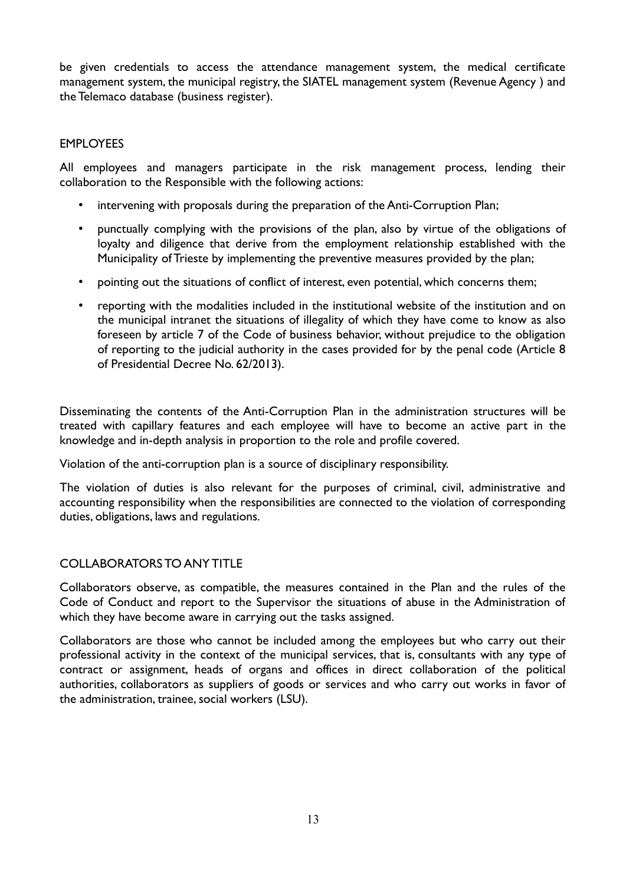be given credentials to access the attendance management system, the medical certificate management system, the municipal registry, the SIATEL management system (Revenue Agency ) and the Telemaco database (business register).

### EMPLOYEES

All employees and managers participate in the risk management process, lending their collaboration to the Responsible with the following actions:

- intervening with proposals during the preparation of the Anti-Corruption Plan;
- punctually complying with the provisions of the plan, also by virtue of the obligations of loyalty and diligence that derive from the employment relationship established with the Municipality of Trieste by implementing the preventive measures provided by the plan;
- pointing out the situations of conflict of interest, even potential, which concerns them;
- reporting with the modalities included in the institutional website of the institution and on the municipal intranet the situations of illegality of which they have come to know as also foreseen by article 7 of the Code of business behavior, without prejudice to the obligation of reporting to the judicial authority in the cases provided for by the penal code (Article 8 of Presidential Decree No. 62/2013).

Disseminating the contents of the Anti-Corruption Plan in the administration structures will be treated with capillary features and each employee will have to become an active part in the knowledge and in-depth analysis in proportion to the role and profile covered.

Violation of the anti-corruption plan is a source of disciplinary responsibility.

The violation of duties is also relevant for the purposes of criminal, civil, administrative and accounting responsibility when the responsibilities are connected to the violation of corresponding duties, obligations, laws and regulations.

#### COLLABORATORS TO ANY TITLE

Collaborators observe, as compatible, the measures contained in the Plan and the rules of the Code of Conduct and report to the Supervisor the situations of abuse in the Administration of which they have become aware in carrying out the tasks assigned.

Collaborators are those who cannot be included among the employees but who carry out their professional activity in the context of the municipal services, that is, consultants with any type of contract or assignment, heads of organs and offices in direct collaboration of the political authorities, collaborators as suppliers of goods or services and who carry out works in favor of the administration, trainee, social workers (LSU).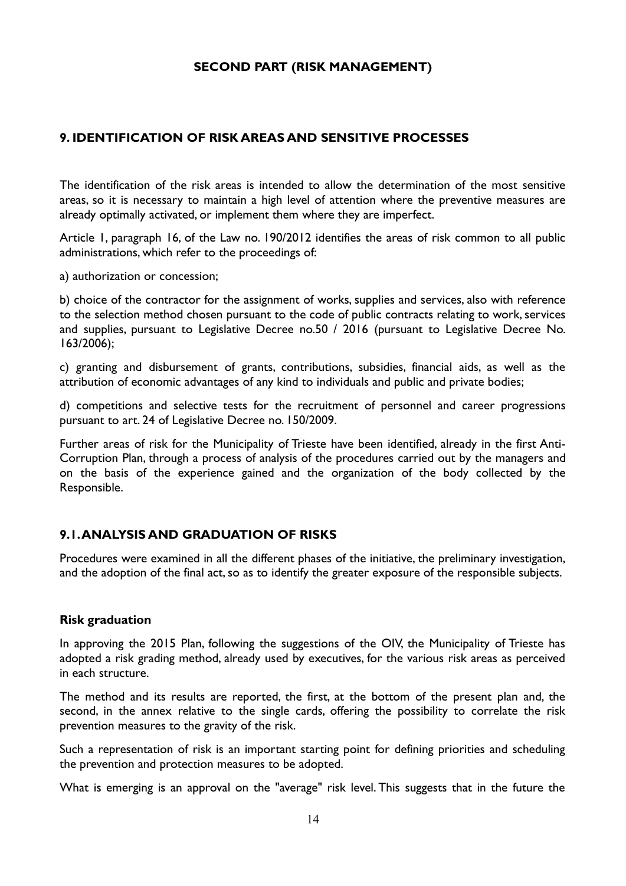### **SECOND PART (RISK MANAGEMENT)**

### **9. IDENTIFICATION OF RISK AREAS AND SENSITIVE PROCESSES**

The identification of the risk areas is intended to allow the determination of the most sensitive areas, so it is necessary to maintain a high level of attention where the preventive measures are already optimally activated, or implement them where they are imperfect.

Article 1, paragraph 16, of the Law no. 190/2012 identifies the areas of risk common to all public administrations, which refer to the proceedings of:

a) authorization or concession;

b) choice of the contractor for the assignment of works, supplies and services, also with reference to the selection method chosen pursuant to the code of public contracts relating to work, services and supplies, pursuant to Legislative Decree no.50 / 2016 (pursuant to Legislative Decree No. 163/2006);

c) granting and disbursement of grants, contributions, subsidies, financial aids, as well as the attribution of economic advantages of any kind to individuals and public and private bodies;

d) competitions and selective tests for the recruitment of personnel and career progressions pursuant to art. 24 of Legislative Decree no. 150/2009.

Further areas of risk for the Municipality of Trieste have been identified, already in the first Anti-Corruption Plan, through a process of analysis of the procedures carried out by the managers and on the basis of the experience gained and the organization of the body collected by the Responsible.

### **9.1. ANALYSIS AND GRADUATION OF RISKS**

Procedures were examined in all the different phases of the initiative, the preliminary investigation, and the adoption of the final act, so as to identify the greater exposure of the responsible subjects.

#### **Risk graduation**

In approving the 2015 Plan, following the suggestions of the OIV, the Municipality of Trieste has adopted a risk grading method, already used by executives, for the various risk areas as perceived in each structure.

The method and its results are reported, the first, at the bottom of the present plan and, the second, in the annex relative to the single cards, offering the possibility to correlate the risk prevention measures to the gravity of the risk.

Such a representation of risk is an important starting point for defining priorities and scheduling the prevention and protection measures to be adopted.

What is emerging is an approval on the "average" risk level. This suggests that in the future the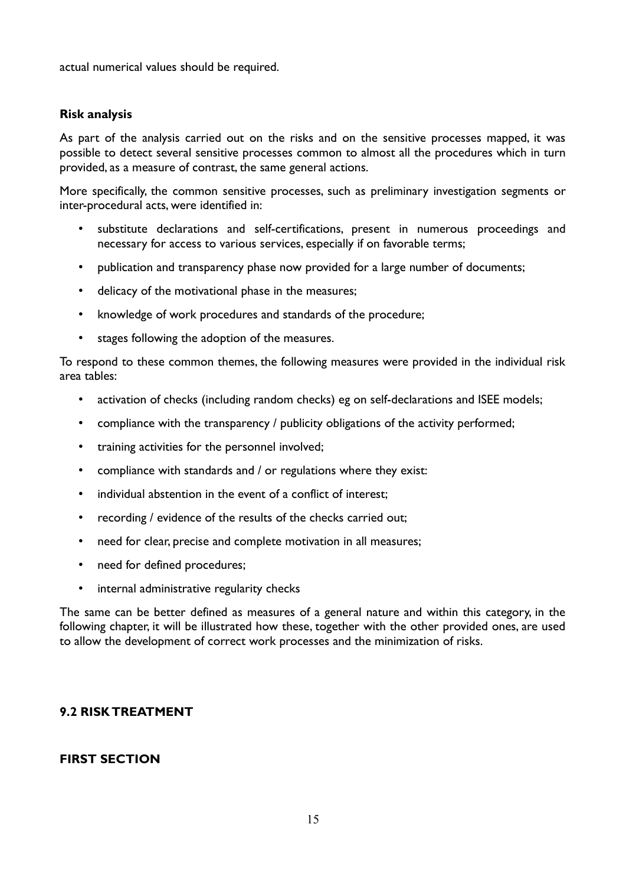actual numerical values should be required.

### **Risk analysis**

As part of the analysis carried out on the risks and on the sensitive processes mapped, it was possible to detect several sensitive processes common to almost all the procedures which in turn provided, as a measure of contrast, the same general actions.

More specifically, the common sensitive processes, such as preliminary investigation segments or inter-procedural acts, were identified in:

- substitute declarations and self-certifications, present in numerous proceedings and necessary for access to various services, especially if on favorable terms;
- publication and transparency phase now provided for a large number of documents;
- delicacy of the motivational phase in the measures;
- knowledge of work procedures and standards of the procedure;
- stages following the adoption of the measures.

To respond to these common themes, the following measures were provided in the individual risk area tables:

- activation of checks (including random checks) eg on self-declarations and ISEE models;
- compliance with the transparency / publicity obligations of the activity performed;
- training activities for the personnel involved;
- compliance with standards and / or regulations where they exist:
- individual abstention in the event of a conflict of interest:
- recording / evidence of the results of the checks carried out;
- need for clear, precise and complete motivation in all measures;
- need for defined procedures;
- internal administrative regularity checks

The same can be better defined as measures of a general nature and within this category, in the following chapter, it will be illustrated how these, together with the other provided ones, are used to allow the development of correct work processes and the minimization of risks.

### **9.2 RISK TREATMENT**

### **FIRST SECTION**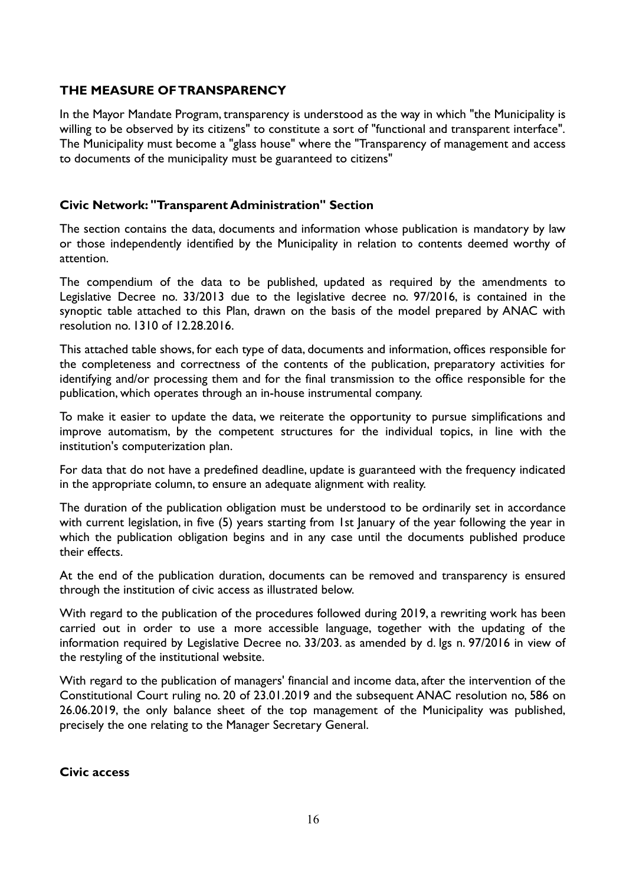### **THE MEASURE OF TRANSPARENCY**

In the Mayor Mandate Program, transparency is understood as the way in which "the Municipality is willing to be observed by its citizens" to constitute a sort of "functional and transparent interface". The Municipality must become a "glass house" where the "Transparency of management and access to documents of the municipality must be guaranteed to citizens"

### **Civic Network: "Transparent Administration" Section**

The section contains the data, documents and information whose publication is mandatory by law or those independently identified by the Municipality in relation to contents deemed worthy of attention.

The compendium of the data to be published, updated as required by the amendments to Legislative Decree no. 33/2013 due to the legislative decree no. 97/2016, is contained in the synoptic table attached to this Plan, drawn on the basis of the model prepared by ANAC with resolution no. 1310 of 12.28.2016.

This attached table shows, for each type of data, documents and information, offices responsible for the completeness and correctness of the contents of the publication, preparatory activities for identifying and/or processing them and for the final transmission to the office responsible for the publication, which operates through an in-house instrumental company.

To make it easier to update the data, we reiterate the opportunity to pursue simplifications and improve automatism, by the competent structures for the individual topics, in line with the institution's computerization plan.

For data that do not have a predefined deadline, update is guaranteed with the frequency indicated in the appropriate column, to ensure an adequate alignment with reality.

The duration of the publication obligation must be understood to be ordinarily set in accordance with current legislation, in five (5) years starting from 1st January of the year following the year in which the publication obligation begins and in any case until the documents published produce their effects.

At the end of the publication duration, documents can be removed and transparency is ensured through the institution of civic access as illustrated below.

With regard to the publication of the procedures followed during 2019, a rewriting work has been carried out in order to use a more accessible language, together with the updating of the information required by Legislative Decree no. 33/203. as amended by d. lgs n. 97/2016 in view of the restyling of the institutional website.

With regard to the publication of managers' financial and income data, after the intervention of the Constitutional Court ruling no. 20 of 23.01.2019 and the subsequent ANAC resolution no, 586 on 26.06.2019, the only balance sheet of the top management of the Municipality was published, precisely the one relating to the Manager Secretary General.

**Civic access**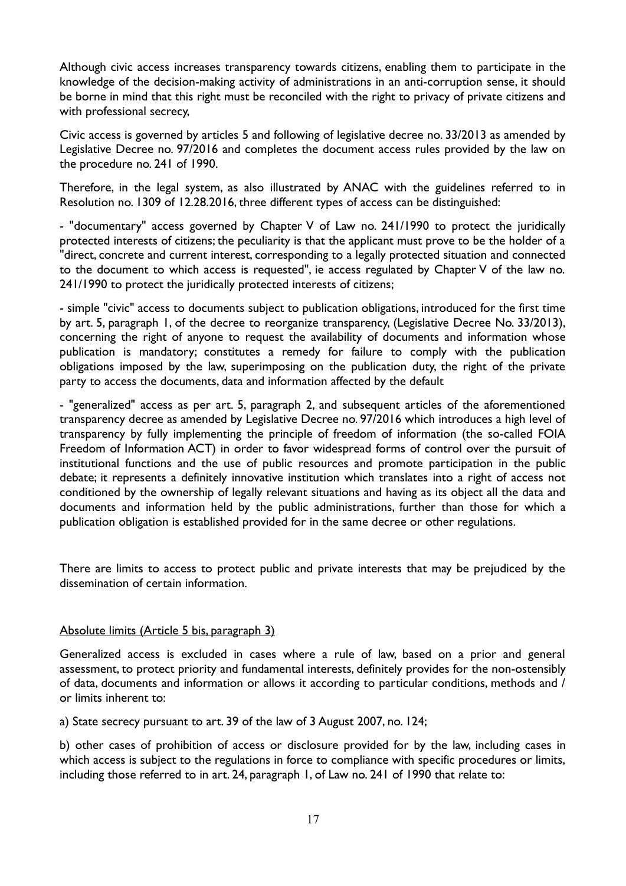Although civic access increases transparency towards citizens, enabling them to participate in the knowledge of the decision-making activity of administrations in an anti-corruption sense, it should be borne in mind that this right must be reconciled with the right to privacy of private citizens and with professional secrecy,

Civic access is governed by articles 5 and following of legislative decree no. 33/2013 as amended by Legislative Decree no. 97/2016 and completes the document access rules provided by the law on the procedure no. 241 of 1990.

Therefore, in the legal system, as also illustrated by ANAC with the guidelines referred to in Resolution no. 1309 of 12.28.2016, three different types of access can be distinguished:

- "documentary" access governed by Chapter V of Law no. 241/1990 to protect the juridically protected interests of citizens; the peculiarity is that the applicant must prove to be the holder of a "direct, concrete and current interest, corresponding to a legally protected situation and connected to the document to which access is requested", ie access regulated by Chapter V of the law no. 241/1990 to protect the juridically protected interests of citizens;

- simple "civic" access to documents subject to publication obligations, introduced for the first time by art. 5, paragraph 1, of the decree to reorganize transparency, (Legislative Decree No. 33/2013), concerning the right of anyone to request the availability of documents and information whose publication is mandatory; constitutes a remedy for failure to comply with the publication obligations imposed by the law, superimposing on the publication duty, the right of the private party to access the documents, data and information affected by the default

- "generalized" access as per art. 5, paragraph 2, and subsequent articles of the aforementioned transparency decree as amended by Legislative Decree no. 97/2016 which introduces a high level of transparency by fully implementing the principle of freedom of information (the so-called FOIA Freedom of Information ACT) in order to favor widespread forms of control over the pursuit of institutional functions and the use of public resources and promote participation in the public debate; it represents a definitely innovative institution which translates into a right of access not conditioned by the ownership of legally relevant situations and having as its object all the data and documents and information held by the public administrations, further than those for which a publication obligation is established provided for in the same decree or other regulations.

There are limits to access to protect public and private interests that may be prejudiced by the dissemination of certain information.

#### Absolute limits (Article 5 bis, paragraph 3)

Generalized access is excluded in cases where a rule of law, based on a prior and general assessment, to protect priority and fundamental interests, definitely provides for the non-ostensibly of data, documents and information or allows it according to particular conditions, methods and / or limits inherent to:

a) State secrecy pursuant to art. 39 of the law of 3 August 2007, no. 124;

b) other cases of prohibition of access or disclosure provided for by the law, including cases in which access is subject to the regulations in force to compliance with specific procedures or limits, including those referred to in art. 24, paragraph 1, of Law no. 241 of 1990 that relate to: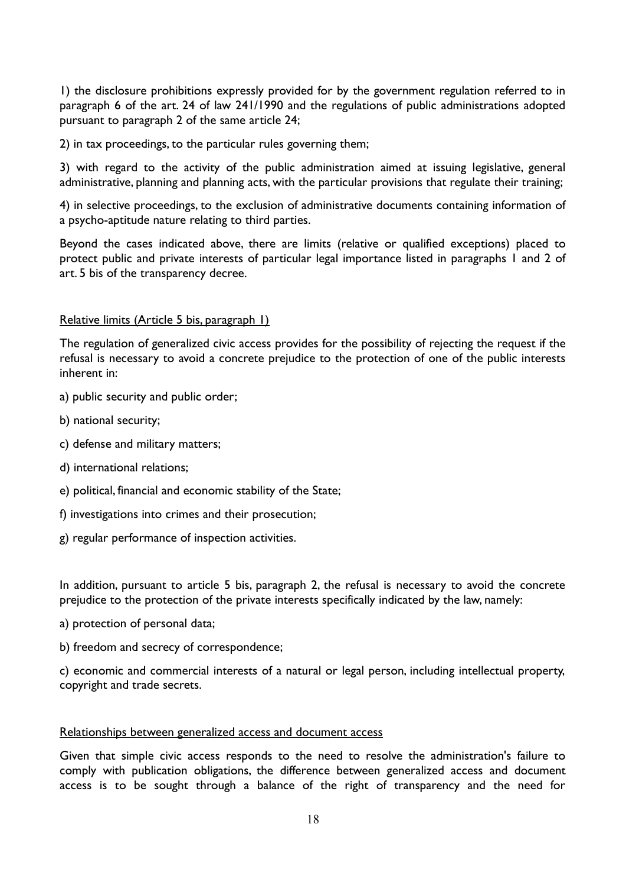1) the disclosure prohibitions expressly provided for by the government regulation referred to in paragraph 6 of the art. 24 of law 241/1990 and the regulations of public administrations adopted pursuant to paragraph 2 of the same article 24;

2) in tax proceedings, to the particular rules governing them;

3) with regard to the activity of the public administration aimed at issuing legislative, general administrative, planning and planning acts, with the particular provisions that regulate their training;

4) in selective proceedings, to the exclusion of administrative documents containing information of a psycho-aptitude nature relating to third parties.

Beyond the cases indicated above, there are limits (relative or qualified exceptions) placed to protect public and private interests of particular legal importance listed in paragraphs 1 and 2 of art. 5 bis of the transparency decree.

#### Relative limits (Article 5 bis, paragraph 1)

The regulation of generalized civic access provides for the possibility of rejecting the request if the refusal is necessary to avoid a concrete prejudice to the protection of one of the public interests inherent in:

- a) public security and public order;
- b) national security;
- c) defense and military matters;
- d) international relations;
- e) political, financial and economic stability of the State;
- f) investigations into crimes and their prosecution;
- g) regular performance of inspection activities.

In addition, pursuant to article 5 bis, paragraph 2, the refusal is necessary to avoid the concrete prejudice to the protection of the private interests specifically indicated by the law, namely:

- a) protection of personal data;
- b) freedom and secrecy of correspondence;

c) economic and commercial interests of a natural or legal person, including intellectual property, copyright and trade secrets.

#### Relationships between generalized access and document access

Given that simple civic access responds to the need to resolve the administration's failure to comply with publication obligations, the difference between generalized access and document access is to be sought through a balance of the right of transparency and the need for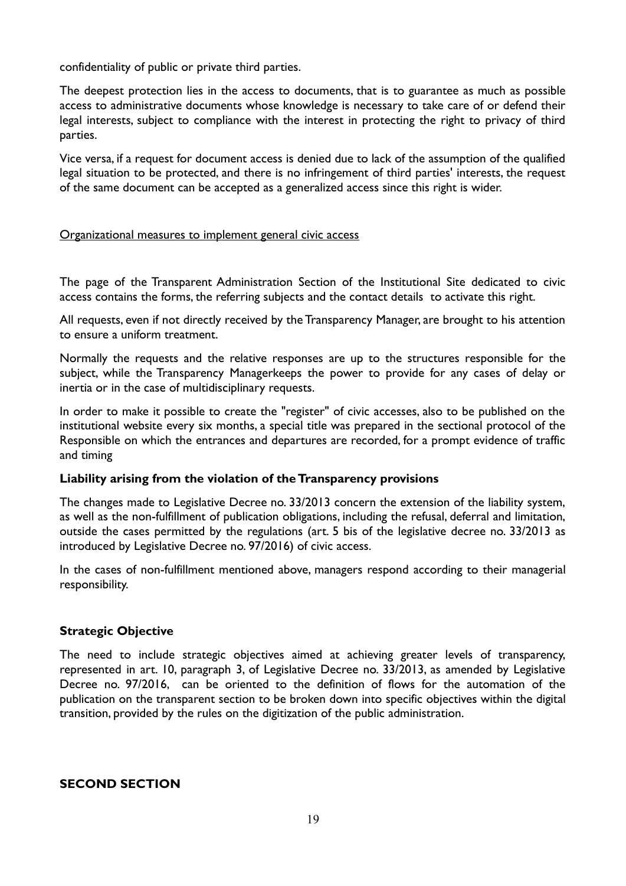confidentiality of public or private third parties.

The deepest protection lies in the access to documents, that is to guarantee as much as possible access to administrative documents whose knowledge is necessary to take care of or defend their legal interests, subject to compliance with the interest in protecting the right to privacy of third parties.

Vice versa, if a request for document access is denied due to lack of the assumption of the qualified legal situation to be protected, and there is no infringement of third parties' interests, the request of the same document can be accepted as a generalized access since this right is wider.

#### Organizational measures to implement general civic access

The page of the Transparent Administration Section of the Institutional Site dedicated to civic access contains the forms, the referring subjects and the contact details to activate this right.

All requests, even if not directly received by the Transparency Manager, are brought to his attention to ensure a uniform treatment.

Normally the requests and the relative responses are up to the structures responsible for the subject, while the Transparency Managerkeeps the power to provide for any cases of delay or inertia or in the case of multidisciplinary requests.

In order to make it possible to create the "register" of civic accesses, also to be published on the institutional website every six months, a special title was prepared in the sectional protocol of the Responsible on which the entrances and departures are recorded, for a prompt evidence of traffic and timing

#### **Liability arising from the violation of the Transparency provisions**

The changes made to Legislative Decree no. 33/2013 concern the extension of the liability system, as well as the non-fulfillment of publication obligations, including the refusal, deferral and limitation, outside the cases permitted by the regulations (art. 5 bis of the legislative decree no. 33/2013 as introduced by Legislative Decree no. 97/2016) of civic access.

In the cases of non-fulfillment mentioned above, managers respond according to their managerial responsibility.

#### **Strategic Objective**

The need to include strategic objectives aimed at achieving greater levels of transparency, represented in art. 10, paragraph 3, of Legislative Decree no. 33/2013, as amended by Legislative Decree no. 97/2016, can be oriented to the definition of flows for the automation of the publication on the transparent section to be broken down into specific objectives within the digital transition, provided by the rules on the digitization of the public administration.

### **SECOND SECTION**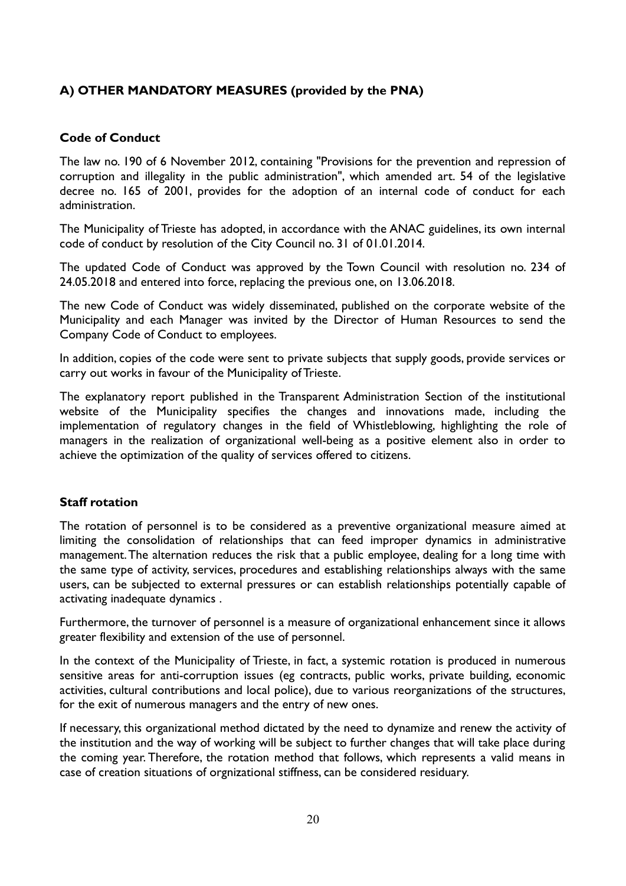# **A) OTHER MANDATORY MEASURES (provided by the PNA)**

### **Code of Conduct**

The law no. 190 of 6 November 2012, containing "Provisions for the prevention and repression of corruption and illegality in the public administration", which amended art. 54 of the legislative decree no. 165 of 2001, provides for the adoption of an internal code of conduct for each administration.

The Municipality of Trieste has adopted, in accordance with the ANAC guidelines, its own internal code of conduct by resolution of the City Council no. 31 of 01.01.2014.

The updated Code of Conduct was approved by the Town Council with resolution no. 234 of 24.05.2018 and entered into force, replacing the previous one, on 13.06.2018.

The new Code of Conduct was widely disseminated, published on the corporate website of the Municipality and each Manager was invited by the Director of Human Resources to send the Company Code of Conduct to employees.

In addition, copies of the code were sent to private subjects that supply goods, provide services or carry out works in favour of the Municipality of Trieste.

The explanatory report published in the Transparent Administration Section of the institutional website of the Municipality specifies the changes and innovations made, including the implementation of regulatory changes in the field of Whistleblowing, highlighting the role of managers in the realization of organizational well-being as a positive element also in order to achieve the optimization of the quality of services offered to citizens.

### **Staff rotation**

The rotation of personnel is to be considered as a preventive organizational measure aimed at limiting the consolidation of relationships that can feed improper dynamics in administrative management. The alternation reduces the risk that a public employee, dealing for a long time with the same type of activity, services, procedures and establishing relationships always with the same users, can be subjected to external pressures or can establish relationships potentially capable of activating inadequate dynamics .

Furthermore, the turnover of personnel is a measure of organizational enhancement since it allows greater flexibility and extension of the use of personnel.

In the context of the Municipality of Trieste, in fact, a systemic rotation is produced in numerous sensitive areas for anti-corruption issues (eg contracts, public works, private building, economic activities, cultural contributions and local police), due to various reorganizations of the structures, for the exit of numerous managers and the entry of new ones.

If necessary, this organizational method dictated by the need to dynamize and renew the activity of the institution and the way of working will be subject to further changes that will take place during the coming year. Therefore, the rotation method that follows, which represents a valid means in case of creation situations of orgnizational stiffness, can be considered residuary.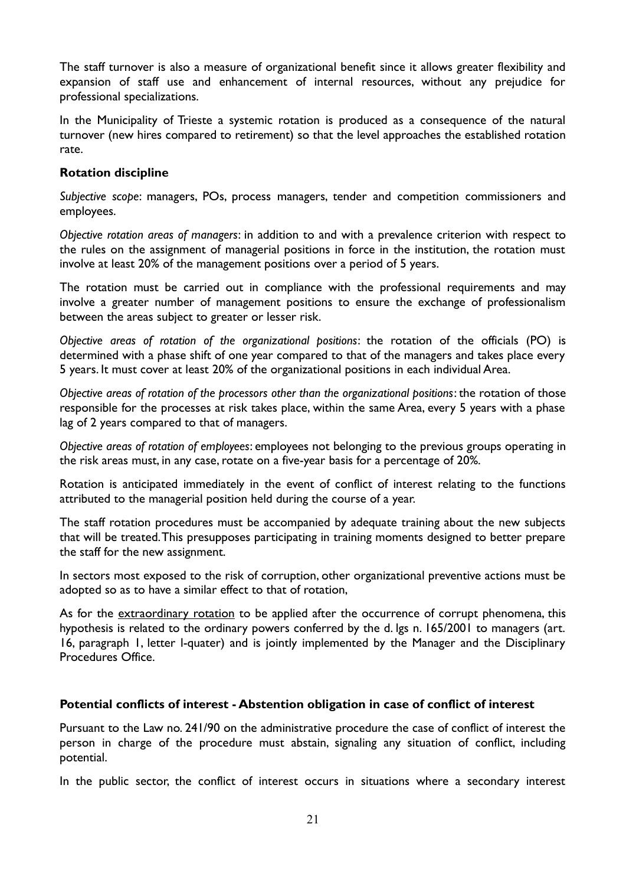The staff turnover is also a measure of organizational benefit since it allows greater flexibility and expansion of staff use and enhancement of internal resources, without any prejudice for professional specializations.

In the Municipality of Trieste a systemic rotation is produced as a consequence of the natural turnover (new hires compared to retirement) so that the level approaches the established rotation rate.

#### **Rotation discipline**

*Subjective scope*: managers, POs, process managers, tender and competition commissioners and employees.

*Objective rotation areas of managers*: in addition to and with a prevalence criterion with respect to the rules on the assignment of managerial positions in force in the institution, the rotation must involve at least 20% of the management positions over a period of 5 years.

The rotation must be carried out in compliance with the professional requirements and may involve a greater number of management positions to ensure the exchange of professionalism between the areas subject to greater or lesser risk.

*Objective areas of rotation of the organizational positions*: the rotation of the officials (PO) is determined with a phase shift of one year compared to that of the managers and takes place every 5 years. It must cover at least 20% of the organizational positions in each individual Area.

*Objective areas of rotation of the processors other than the organizational positions*: the rotation of those responsible for the processes at risk takes place, within the same Area, every 5 years with a phase lag of 2 years compared to that of managers.

*Objective areas of rotation of employees*: employees not belonging to the previous groups operating in the risk areas must, in any case, rotate on a five-year basis for a percentage of 20%.

Rotation is anticipated immediately in the event of conflict of interest relating to the functions attributed to the managerial position held during the course of a year.

The staff rotation procedures must be accompanied by adequate training about the new subjects that will be treated. This presupposes participating in training moments designed to better prepare the staff for the new assignment.

In sectors most exposed to the risk of corruption, other organizational preventive actions must be adopted so as to have a similar effect to that of rotation,

As for the extraordinary rotation to be applied after the occurrence of corrupt phenomena, this hypothesis is related to the ordinary powers conferred by the d. lgs n. 165/2001 to managers (art. 16, paragraph 1, letter l-quater) and is jointly implemented by the Manager and the Disciplinary Procedures Office.

#### **Potential conflicts of interest - Abstention obligation in case of conflict of interest**

Pursuant to the Law no. 241/90 on the administrative procedure the case of conflict of interest the person in charge of the procedure must abstain, signaling any situation of conflict, including potential.

In the public sector, the conflict of interest occurs in situations where a secondary interest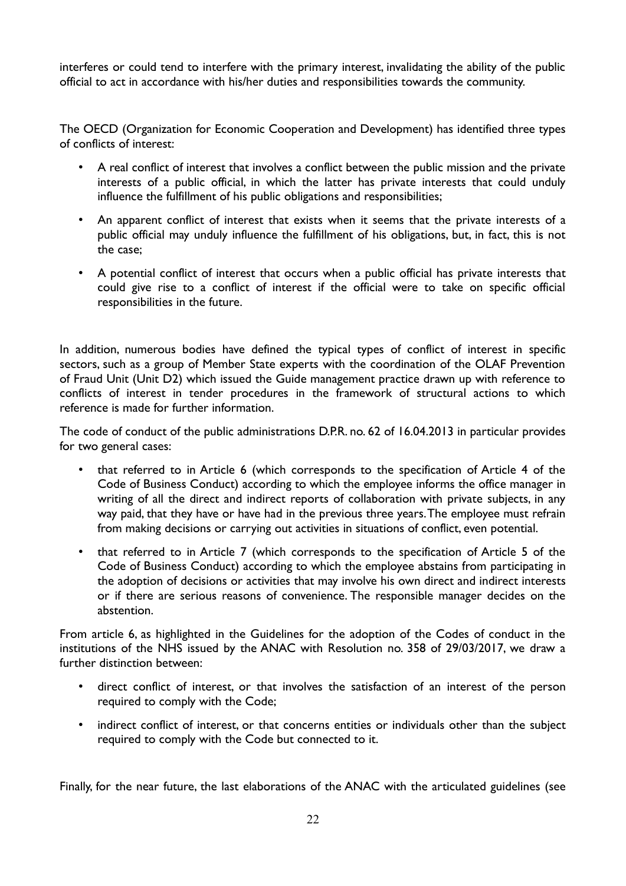interferes or could tend to interfere with the primary interest, invalidating the ability of the public official to act in accordance with his/her duties and responsibilities towards the community.

The OECD (Organization for Economic Cooperation and Development) has identified three types of conflicts of interest:

- A real conflict of interest that involves a conflict between the public mission and the private interests of a public official, in which the latter has private interests that could unduly influence the fulfillment of his public obligations and responsibilities;
- An apparent conflict of interest that exists when it seems that the private interests of a public official may unduly influence the fulfillment of his obligations, but, in fact, this is not the case;
- A potential conflict of interest that occurs when a public official has private interests that could give rise to a conflict of interest if the official were to take on specific official responsibilities in the future.

In addition, numerous bodies have defined the typical types of conflict of interest in specific sectors, such as a group of Member State experts with the coordination of the OLAF Prevention of Fraud Unit (Unit D2) which issued the Guide management practice drawn up with reference to conflicts of interest in tender procedures in the framework of structural actions to which reference is made for further information.

The code of conduct of the public administrations D.P.R. no. 62 of 16.04.2013 in particular provides for two general cases:

- that referred to in Article 6 (which corresponds to the specification of Article 4 of the Code of Business Conduct) according to which the employee informs the office manager in writing of all the direct and indirect reports of collaboration with private subjects, in any way paid, that they have or have had in the previous three years. The employee must refrain from making decisions or carrying out activities in situations of conflict, even potential.
- that referred to in Article 7 (which corresponds to the specification of Article 5 of the Code of Business Conduct) according to which the employee abstains from participating in the adoption of decisions or activities that may involve his own direct and indirect interests or if there are serious reasons of convenience. The responsible manager decides on the abstention.

From article 6, as highlighted in the Guidelines for the adoption of the Codes of conduct in the institutions of the NHS issued by the ANAC with Resolution no. 358 of 29/03/2017, we draw a further distinction between:

- direct conflict of interest, or that involves the satisfaction of an interest of the person required to comply with the Code;
- indirect conflict of interest, or that concerns entities or individuals other than the subject required to comply with the Code but connected to it.

Finally, for the near future, the last elaborations of the ANAC with the articulated guidelines (see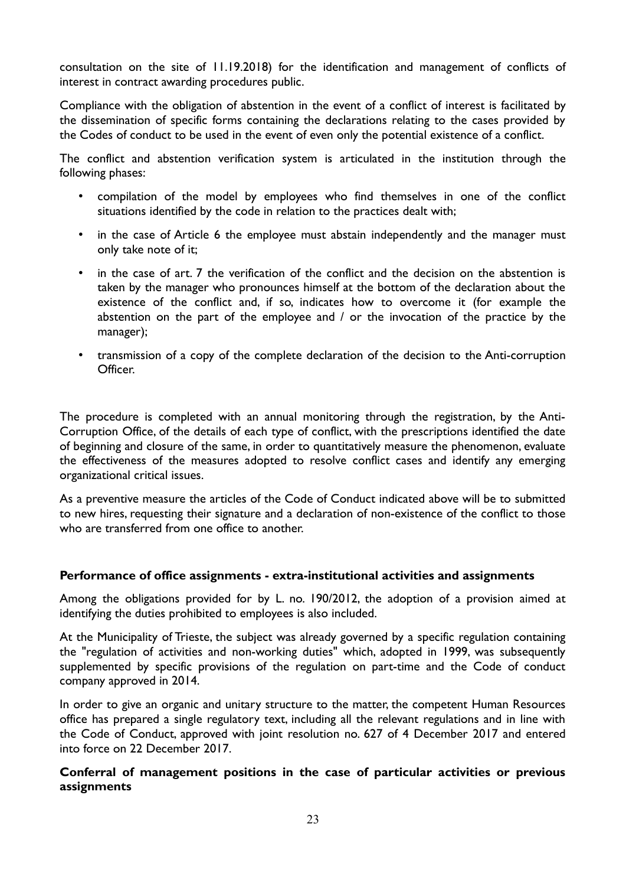consultation on the site of 11.19.2018) for the identification and management of conflicts of interest in contract awarding procedures public.

Compliance with the obligation of abstention in the event of a conflict of interest is facilitated by the dissemination of specific forms containing the declarations relating to the cases provided by the Codes of conduct to be used in the event of even only the potential existence of a conflict.

The conflict and abstention verification system is articulated in the institution through the following phases:

- compilation of the model by employees who find themselves in one of the conflict situations identified by the code in relation to the practices dealt with;
- in the case of Article 6 the employee must abstain independently and the manager must only take note of it;
- in the case of art. 7 the verification of the conflict and the decision on the abstention is taken by the manager who pronounces himself at the bottom of the declaration about the existence of the conflict and, if so, indicates how to overcome it (for example the abstention on the part of the employee and / or the invocation of the practice by the manager);
- transmission of a copy of the complete declaration of the decision to the Anti-corruption Officer.

The procedure is completed with an annual monitoring through the registration, by the Anti-Corruption Office, of the details of each type of conflict, with the prescriptions identified the date of beginning and closure of the same, in order to quantitatively measure the phenomenon, evaluate the effectiveness of the measures adopted to resolve conflict cases and identify any emerging organizational critical issues.

As a preventive measure the articles of the Code of Conduct indicated above will be to submitted to new hires, requesting their signature and a declaration of non-existence of the conflict to those who are transferred from one office to another.

#### **Performance of office assignments - extra-institutional activities and assignments**

Among the obligations provided for by L. no. 190/2012, the adoption of a provision aimed at identifying the duties prohibited to employees is also included.

At the Municipality of Trieste, the subject was already governed by a specific regulation containing the "regulation of activities and non-working duties" which, adopted in 1999, was subsequently supplemented by specific provisions of the regulation on part-time and the Code of conduct company approved in 2014.

In order to give an organic and unitary structure to the matter, the competent Human Resources office has prepared a single regulatory text, including all the relevant regulations and in line with the Code of Conduct, approved with joint resolution no. 627 of 4 December 2017 and entered into force on 22 December 2017.

### **Conferral of management positions in the case of particular activities or previous assignments**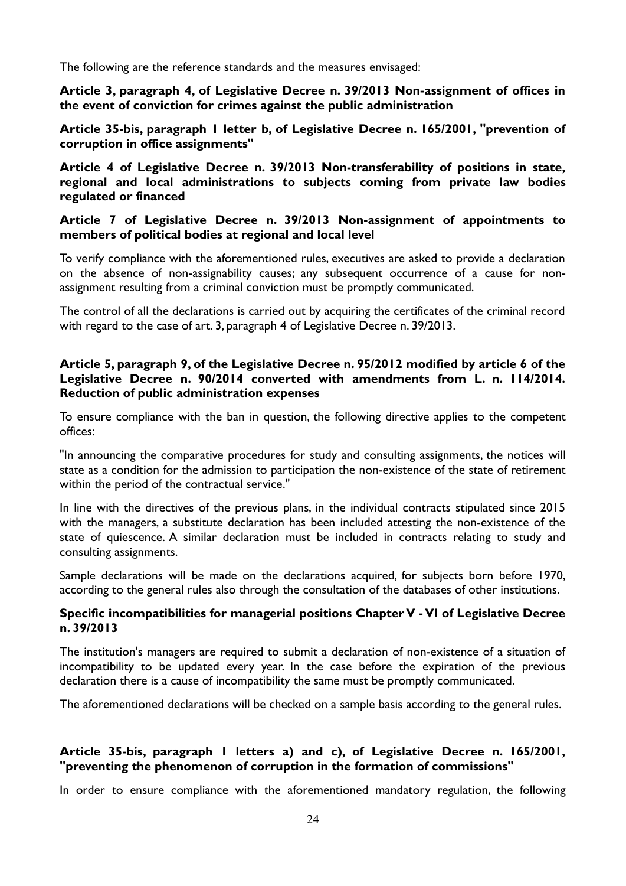The following are the reference standards and the measures envisaged:

**Article 3, paragraph 4, of Legislative Decree n. 39/2013 Non-assignment of offices in the event of conviction for crimes against the public administration**

**Article 35-bis, paragraph 1 letter b, of Legislative Decree n. 165/2001, "prevention of corruption in office assignments"**

**Article 4 of Legislative Decree n. 39/2013 Non-transferability of positions in state, regional and local administrations to subjects coming from private law bodies regulated or financed**

**Article 7 of Legislative Decree n. 39/2013 Non-assignment of appointments to members of political bodies at regional and local level**

To verify compliance with the aforementioned rules, executives are asked to provide a declaration on the absence of non-assignability causes; any subsequent occurrence of a cause for nonassignment resulting from a criminal conviction must be promptly communicated.

The control of all the declarations is carried out by acquiring the certificates of the criminal record with regard to the case of art. 3, paragraph 4 of Legislative Decree n. 39/2013.

### **Article 5, paragraph 9, of the Legislative Decree n. 95/2012 modified by article 6 of the Legislative Decree n. 90/2014 converted with amendments from L. n. 114/2014. Reduction of public administration expenses**

To ensure compliance with the ban in question, the following directive applies to the competent offices:

"In announcing the comparative procedures for study and consulting assignments, the notices will state as a condition for the admission to participation the non-existence of the state of retirement within the period of the contractual service."

In line with the directives of the previous plans, in the individual contracts stipulated since 2015 with the managers, a substitute declaration has been included attesting the non-existence of the state of quiescence. A similar declaration must be included in contracts relating to study and consulting assignments.

Sample declarations will be made on the declarations acquired, for subjects born before 1970, according to the general rules also through the consultation of the databases of other institutions.

### **Specific incompatibilities for managerial positions Chapter V - VI of Legislative Decree n. 39/2013**

The institution's managers are required to submit a declaration of non-existence of a situation of incompatibility to be updated every year. In the case before the expiration of the previous declaration there is a cause of incompatibility the same must be promptly communicated.

The aforementioned declarations will be checked on a sample basis according to the general rules.

# **Article 35-bis, paragraph 1 letters a) and c), of Legislative Decree n. 165/2001, "preventing the phenomenon of corruption in the formation of commissions"**

In order to ensure compliance with the aforementioned mandatory regulation, the following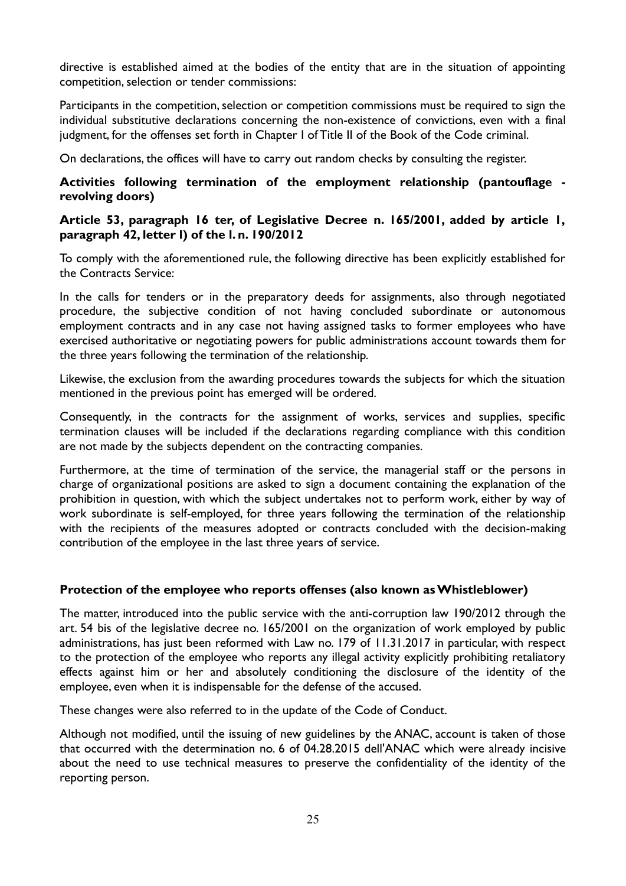directive is established aimed at the bodies of the entity that are in the situation of appointing competition, selection or tender commissions:

Participants in the competition, selection or competition commissions must be required to sign the individual substitutive declarations concerning the non-existence of convictions, even with a final judgment, for the offenses set forth in Chapter I of Title II of the Book of the Code criminal.

On declarations, the offices will have to carry out random checks by consulting the register.

### **Activities following termination of the employment relationship (pantouflage revolving doors)**

### **Article 53, paragraph 16 ter, of Legislative Decree n. 165/2001, added by article 1, paragraph 42, letter l) of the l. n. 190/2012**

To comply with the aforementioned rule, the following directive has been explicitly established for the Contracts Service:

In the calls for tenders or in the preparatory deeds for assignments, also through negotiated procedure, the subjective condition of not having concluded subordinate or autonomous employment contracts and in any case not having assigned tasks to former employees who have exercised authoritative or negotiating powers for public administrations account towards them for the three years following the termination of the relationship.

Likewise, the exclusion from the awarding procedures towards the subjects for which the situation mentioned in the previous point has emerged will be ordered.

Consequently, in the contracts for the assignment of works, services and supplies, specific termination clauses will be included if the declarations regarding compliance with this condition are not made by the subjects dependent on the contracting companies.

Furthermore, at the time of termination of the service, the managerial staff or the persons in charge of organizational positions are asked to sign a document containing the explanation of the prohibition in question, with which the subject undertakes not to perform work, either by way of work subordinate is self-employed, for three years following the termination of the relationship with the recipients of the measures adopted or contracts concluded with the decision-making contribution of the employee in the last three years of service.

### **Protection of the employee who reports offenses (also known as Whistleblower)**

The matter, introduced into the public service with the anti-corruption law 190/2012 through the art. 54 bis of the legislative decree no. 165/2001 on the organization of work employed by public administrations, has just been reformed with Law no. 179 of 11.31.2017 in particular, with respect to the protection of the employee who reports any illegal activity explicitly prohibiting retaliatory effects against him or her and absolutely conditioning the disclosure of the identity of the employee, even when it is indispensable for the defense of the accused.

These changes were also referred to in the update of the Code of Conduct.

Although not modified, until the issuing of new guidelines by the ANAC, account is taken of those that occurred with the determination no. 6 of 04.28.2015 dell'ANAC which were already incisive about the need to use technical measures to preserve the confidentiality of the identity of the reporting person.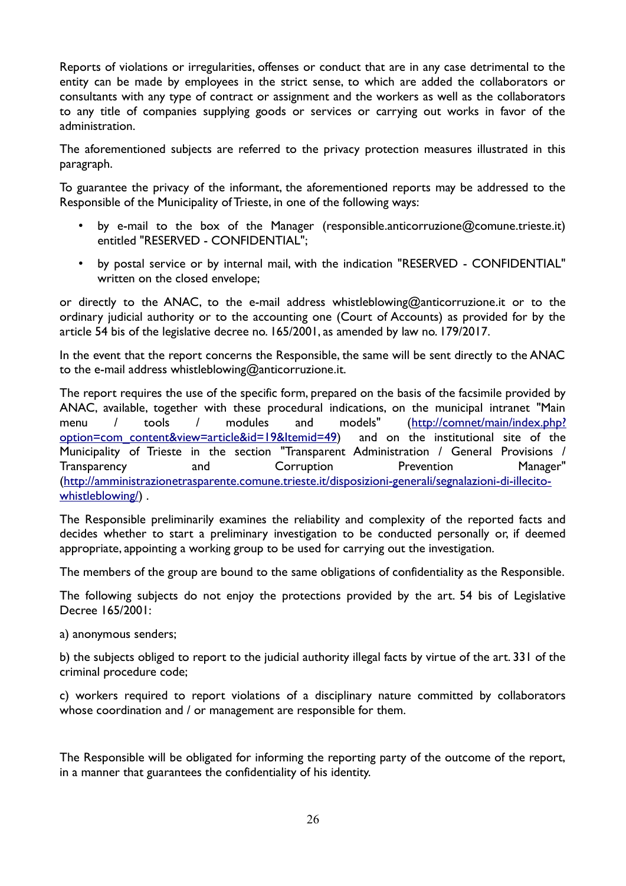Reports of violations or irregularities, offenses or conduct that are in any case detrimental to the entity can be made by employees in the strict sense, to which are added the collaborators or consultants with any type of contract or assignment and the workers as well as the collaborators to any title of companies supplying goods or services or carrying out works in favor of the administration.

The aforementioned subjects are referred to the privacy protection measures illustrated in this paragraph.

To guarantee the privacy of the informant, the aforementioned reports may be addressed to the Responsible of the Municipality of Trieste, in one of the following ways:

- by e-mail to the box of the Manager (responsible.anticorruzione@comune.trieste.it) entitled "RESERVED - CONFIDENTIAL";
- by postal service or by internal mail, with the indication "RESERVED CONFIDENTIAL" written on the closed envelope;

or directly to the ANAC, to the e-mail address whistleblowing@anticorruzione.it or to the ordinary judicial authority or to the accounting one (Court of Accounts) as provided for by the article 54 bis of the legislative decree no. 165/2001, as amended by law no. 179/2017.

In the event that the report concerns the Responsible, the same will be sent directly to the ANAC to the e-mail address whistleblowing@anticorruzione.it.

The report requires the use of the specific form, prepared on the basis of the facsimile provided by ANAC, available, together with these procedural indications, on the municipal intranet "Main menu / tools / modules and models" [\(http://comnet/main/index.php?](http://comnet/main/index.php?option=com_content&view=article&id=19&Itemid=49) [option=com\\_content&view=article&id=19&Itemid=49\)](http://comnet/main/index.php?option=com_content&view=article&id=19&Itemid=49) and on the institutional site of the Municipality of Trieste in the section "Transparent Administration / General Provisions / Transparency and Corruption Prevention Manager" ([http://amministrazionetrasparente.comune.trieste.it/disposizioni-generali/segnalazioni-di-illecito](http://amministrazionetrasparente.comune.trieste.it/disposizioni-generali/segnalazioni-di-illecito-whistleblowing/)[whistleblowing/](http://amministrazionetrasparente.comune.trieste.it/disposizioni-generali/segnalazioni-di-illecito-whistleblowing/)) .

The Responsible preliminarily examines the reliability and complexity of the reported facts and decides whether to start a preliminary investigation to be conducted personally or, if deemed appropriate, appointing a working group to be used for carrying out the investigation.

The members of the group are bound to the same obligations of confidentiality as the Responsible.

The following subjects do not enjoy the protections provided by the art. 54 bis of Legislative Decree 165/2001:

a) anonymous senders;

b) the subjects obliged to report to the judicial authority illegal facts by virtue of the art. 331 of the criminal procedure code;

c) workers required to report violations of a disciplinary nature committed by collaborators whose coordination and / or management are responsible for them.

The Responsible will be obligated for informing the reporting party of the outcome of the report, in a manner that guarantees the confidentiality of his identity.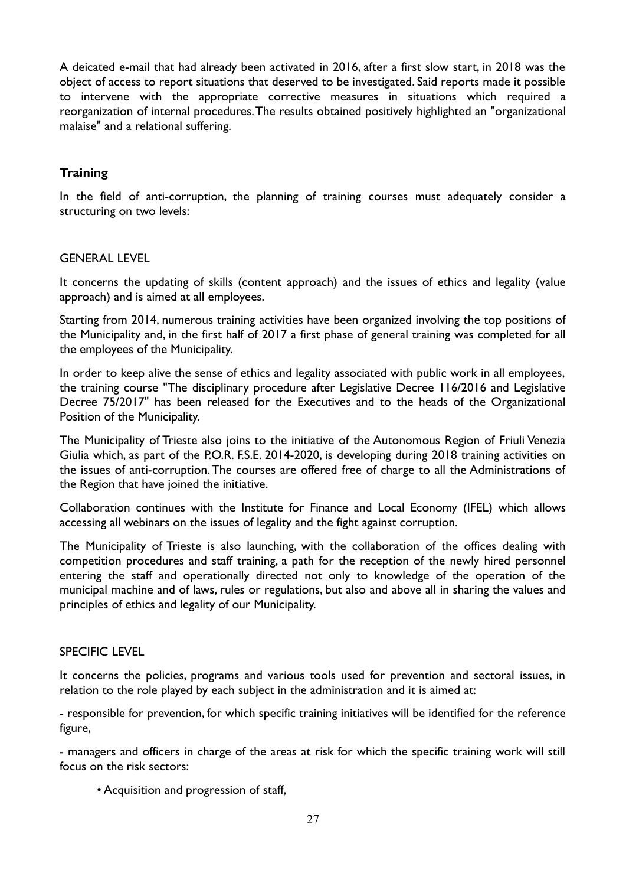A deicated e-mail that had already been activated in 2016, after a first slow start, in 2018 was the object of access to report situations that deserved to be investigated. Said reports made it possible to intervene with the appropriate corrective measures in situations which required a reorganization of internal procedures. The results obtained positively highlighted an "organizational malaise" and a relational suffering.

### **Training**

In the field of anti-corruption, the planning of training courses must adequately consider a structuring on two levels:

#### GENERAL LEVEL

It concerns the updating of skills (content approach) and the issues of ethics and legality (value approach) and is aimed at all employees.

Starting from 2014, numerous training activities have been organized involving the top positions of the Municipality and, in the first half of 2017 a first phase of general training was completed for all the employees of the Municipality.

In order to keep alive the sense of ethics and legality associated with public work in all employees, the training course "The disciplinary procedure after Legislative Decree 116/2016 and Legislative Decree 75/2017" has been released for the Executives and to the heads of the Organizational Position of the Municipality.

The Municipality of Trieste also joins to the initiative of the Autonomous Region of Friuli Venezia Giulia which, as part of the P.O.R. F.S.E. 2014-2020, is developing during 2018 training activities on the issues of anti-corruption. The courses are offered free of charge to all the Administrations of the Region that have joined the initiative.

Collaboration continues with the Institute for Finance and Local Economy (IFEL) which allows accessing all webinars on the issues of legality and the fight against corruption.

The Municipality of Trieste is also launching, with the collaboration of the offices dealing with competition procedures and staff training, a path for the reception of the newly hired personnel entering the staff and operationally directed not only to knowledge of the operation of the municipal machine and of laws, rules or regulations, but also and above all in sharing the values and principles of ethics and legality of our Municipality.

#### SPECIFIC LEVEL

It concerns the policies, programs and various tools used for prevention and sectoral issues, in relation to the role played by each subject in the administration and it is aimed at:

- responsible for prevention, for which specific training initiatives will be identified for the reference figure,

- managers and officers in charge of the areas at risk for which the specific training work will still focus on the risk sectors:

• Acquisition and progression of staff,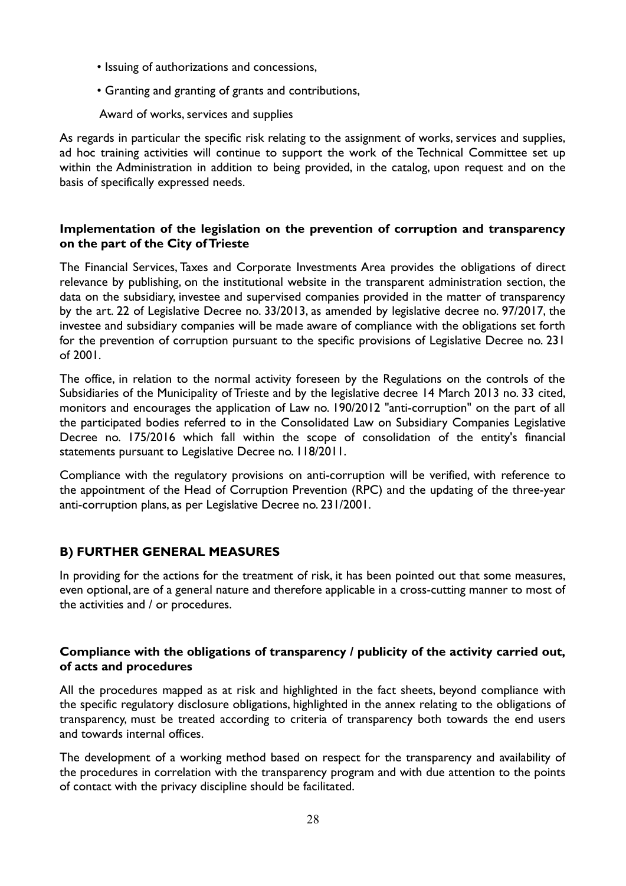- Issuing of authorizations and concessions,
- Granting and granting of grants and contributions,

Award of works, services and supplies

As regards in particular the specific risk relating to the assignment of works, services and supplies, ad hoc training activities will continue to support the work of the Technical Committee set up within the Administration in addition to being provided, in the catalog, upon request and on the basis of specifically expressed needs.

### **Implementation of the legislation on the prevention of corruption and transparency on the part of the City of Trieste**

The Financial Services, Taxes and Corporate Investments Area provides the obligations of direct relevance by publishing, on the institutional website in the transparent administration section, the data on the subsidiary, investee and supervised companies provided in the matter of transparency by the art. 22 of Legislative Decree no. 33/2013, as amended by legislative decree no. 97/2017, the investee and subsidiary companies will be made aware of compliance with the obligations set forth for the prevention of corruption pursuant to the specific provisions of Legislative Decree no. 231 of 2001.

The office, in relation to the normal activity foreseen by the Regulations on the controls of the Subsidiaries of the Municipality of Trieste and by the legislative decree 14 March 2013 no. 33 cited, monitors and encourages the application of Law no. 190/2012 "anti-corruption" on the part of all the participated bodies referred to in the Consolidated Law on Subsidiary Companies Legislative Decree no. 175/2016 which fall within the scope of consolidation of the entity's financial statements pursuant to Legislative Decree no. 118/2011.

Compliance with the regulatory provisions on anti-corruption will be verified, with reference to the appointment of the Head of Corruption Prevention (RPC) and the updating of the three-year anti-corruption plans, as per Legislative Decree no. 231/2001.

# **B) FURTHER GENERAL MEASURES**

In providing for the actions for the treatment of risk, it has been pointed out that some measures, even optional, are of a general nature and therefore applicable in a cross-cutting manner to most of the activities and / or procedures.

### **Compliance with the obligations of transparency / publicity of the activity carried out, of acts and procedures**

All the procedures mapped as at risk and highlighted in the fact sheets, beyond compliance with the specific regulatory disclosure obligations, highlighted in the annex relating to the obligations of transparency, must be treated according to criteria of transparency both towards the end users and towards internal offices.

The development of a working method based on respect for the transparency and availability of the procedures in correlation with the transparency program and with due attention to the points of contact with the privacy discipline should be facilitated.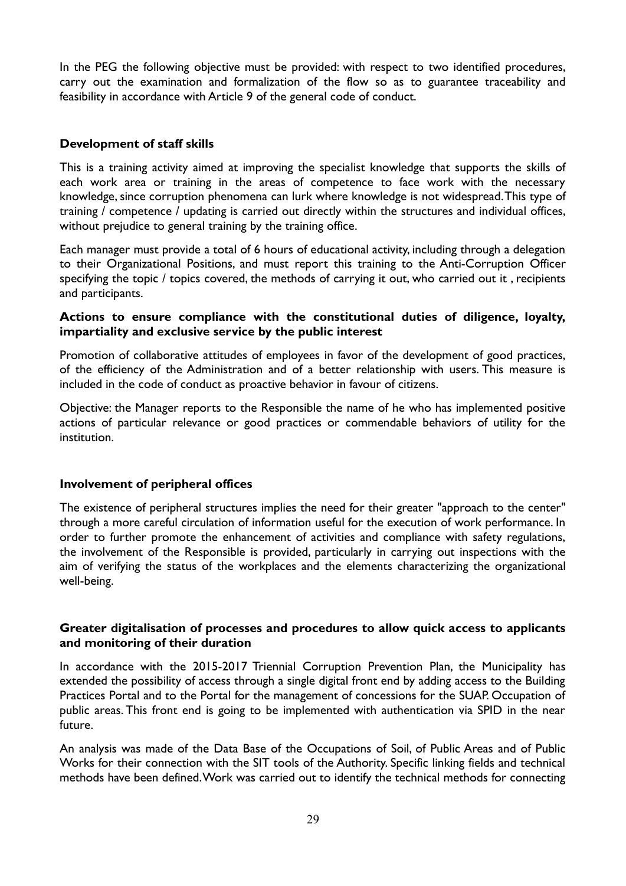In the PEG the following objective must be provided: with respect to two identified procedures, carry out the examination and formalization of the flow so as to guarantee traceability and feasibility in accordance with Article 9 of the general code of conduct.

### **Development of staff skills**

This is a training activity aimed at improving the specialist knowledge that supports the skills of each work area or training in the areas of competence to face work with the necessary knowledge, since corruption phenomena can lurk where knowledge is not widespread. This type of training / competence / updating is carried out directly within the structures and individual offices, without prejudice to general training by the training office.

Each manager must provide a total of 6 hours of educational activity, including through a delegation to their Organizational Positions, and must report this training to the Anti-Corruption Officer specifying the topic / topics covered, the methods of carrying it out, who carried out it , recipients and participants.

#### **Actions to ensure compliance with the constitutional duties of diligence, loyalty, impartiality and exclusive service by the public interest**

Promotion of collaborative attitudes of employees in favor of the development of good practices, of the efficiency of the Administration and of a better relationship with users. This measure is included in the code of conduct as proactive behavior in favour of citizens.

Objective: the Manager reports to the Responsible the name of he who has implemented positive actions of particular relevance or good practices or commendable behaviors of utility for the institution.

#### **Involvement of peripheral offices**

The existence of peripheral structures implies the need for their greater "approach to the center" through a more careful circulation of information useful for the execution of work performance. In order to further promote the enhancement of activities and compliance with safety regulations, the involvement of the Responsible is provided, particularly in carrying out inspections with the aim of verifying the status of the workplaces and the elements characterizing the organizational well-being.

### **Greater digitalisation of processes and procedures to allow quick access to applicants and monitoring of their duration**

In accordance with the 2015-2017 Triennial Corruption Prevention Plan, the Municipality has extended the possibility of access through a single digital front end by adding access to the Building Practices Portal and to the Portal for the management of concessions for the SUAP. Occupation of public areas. This front end is going to be implemented with authentication via SPID in the near future.

An analysis was made of the Data Base of the Occupations of Soil, of Public Areas and of Public Works for their connection with the SIT tools of the Authority. Specific linking fields and technical methods have been defined. Work was carried out to identify the technical methods for connecting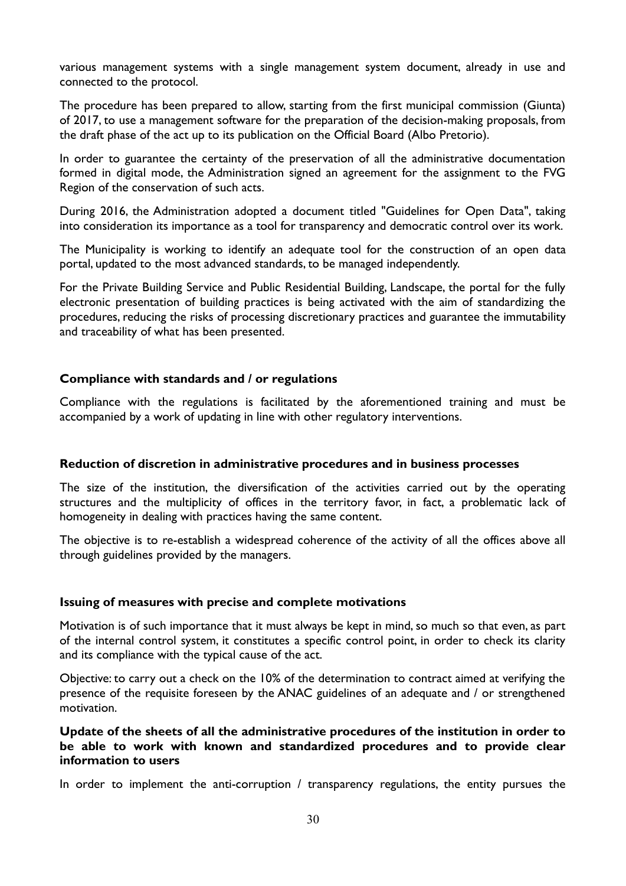various management systems with a single management system document, already in use and connected to the protocol.

The procedure has been prepared to allow, starting from the first municipal commission (Giunta) of 2017, to use a management software for the preparation of the decision-making proposals, from the draft phase of the act up to its publication on the Official Board (Albo Pretorio).

In order to guarantee the certainty of the preservation of all the administrative documentation formed in digital mode, the Administration signed an agreement for the assignment to the FVG Region of the conservation of such acts.

During 2016, the Administration adopted a document titled "Guidelines for Open Data", taking into consideration its importance as a tool for transparency and democratic control over its work.

The Municipality is working to identify an adequate tool for the construction of an open data portal, updated to the most advanced standards, to be managed independently.

For the Private Building Service and Public Residential Building, Landscape, the portal for the fully electronic presentation of building practices is being activated with the aim of standardizing the procedures, reducing the risks of processing discretionary practices and guarantee the immutability and traceability of what has been presented.

### **Compliance with standards and / or regulations**

Compliance with the regulations is facilitated by the aforementioned training and must be accompanied by a work of updating in line with other regulatory interventions.

#### **Reduction of discretion in administrative procedures and in business processes**

The size of the institution, the diversification of the activities carried out by the operating structures and the multiplicity of offices in the territory favor, in fact, a problematic lack of homogeneity in dealing with practices having the same content.

The objective is to re-establish a widespread coherence of the activity of all the offices above all through guidelines provided by the managers.

#### **Issuing of measures with precise and complete motivations**

Motivation is of such importance that it must always be kept in mind, so much so that even, as part of the internal control system, it constitutes a specific control point, in order to check its clarity and its compliance with the typical cause of the act.

Objective: to carry out a check on the 10% of the determination to contract aimed at verifying the presence of the requisite foreseen by the ANAC guidelines of an adequate and / or strengthened motivation.

### **Update of the sheets of all the administrative procedures of the institution in order to be able to work with known and standardized procedures and to provide clear information to users**

In order to implement the anti-corruption / transparency regulations, the entity pursues the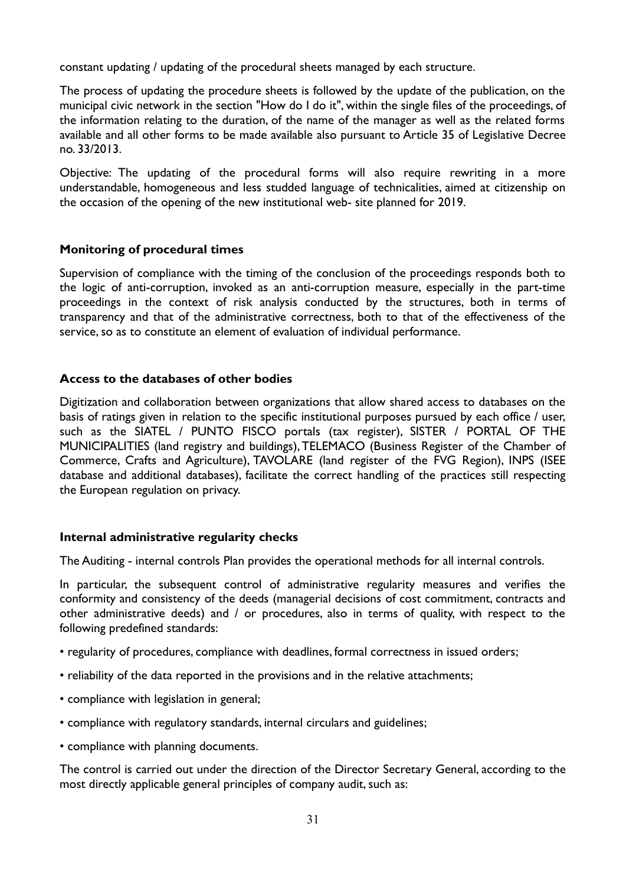constant updating / updating of the procedural sheets managed by each structure.

The process of updating the procedure sheets is followed by the update of the publication, on the municipal civic network in the section "How do I do it", within the single files of the proceedings, of the information relating to the duration, of the name of the manager as well as the related forms available and all other forms to be made available also pursuant to Article 35 of Legislative Decree no. 33/2013.

Objective: The updating of the procedural forms will also require rewriting in a more understandable, homogeneous and less studded language of technicalities, aimed at citizenship on the occasion of the opening of the new institutional web- site planned for 2019.

### **Monitoring of procedural times**

Supervision of compliance with the timing of the conclusion of the proceedings responds both to the logic of anti-corruption, invoked as an anti-corruption measure, especially in the part-time proceedings in the context of risk analysis conducted by the structures, both in terms of transparency and that of the administrative correctness, both to that of the effectiveness of the service, so as to constitute an element of evaluation of individual performance.

### **Access to the databases of other bodies**

Digitization and collaboration between organizations that allow shared access to databases on the basis of ratings given in relation to the specific institutional purposes pursued by each office / user, such as the SIATEL / PUNTO FISCO portals (tax register), SISTER / PORTAL OF THE MUNICIPALITIES (land registry and buildings), TELEMACO (Business Register of the Chamber of Commerce, Crafts and Agriculture), TAVOLARE (land register of the FVG Region), INPS (ISEE database and additional databases), facilitate the correct handling of the practices still respecting the European regulation on privacy.

#### **Internal administrative regularity checks**

The Auditing - internal controls Plan provides the operational methods for all internal controls.

In particular, the subsequent control of administrative regularity measures and verifies the conformity and consistency of the deeds (managerial decisions of cost commitment, contracts and other administrative deeds) and / or procedures, also in terms of quality, with respect to the following predefined standards:

- regularity of procedures, compliance with deadlines, formal correctness in issued orders;
- reliability of the data reported in the provisions and in the relative attachments;
- compliance with legislation in general;
- compliance with regulatory standards, internal circulars and guidelines;
- compliance with planning documents.

The control is carried out under the direction of the Director Secretary General, according to the most directly applicable general principles of company audit, such as: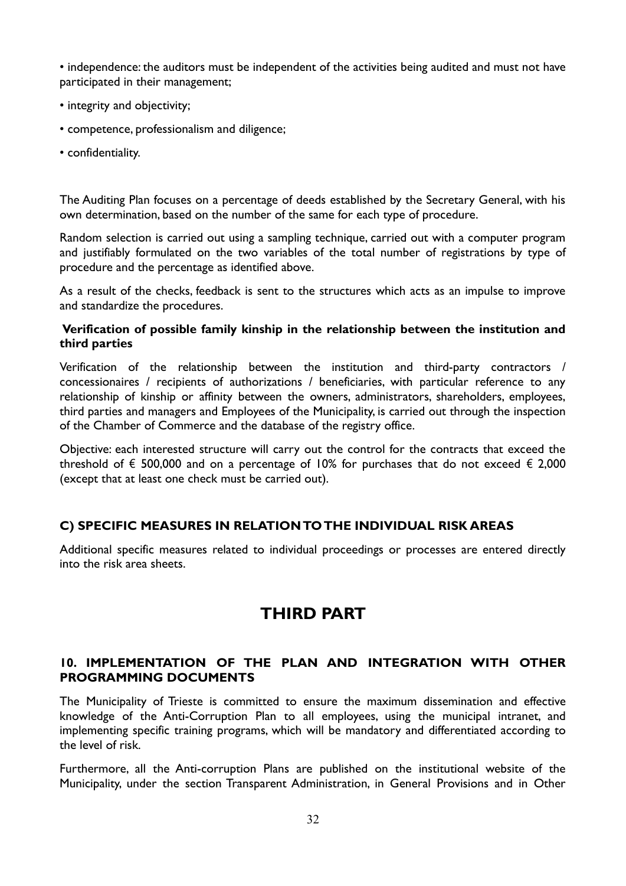• independence: the auditors must be independent of the activities being audited and must not have participated in their management;

- integrity and objectivity;
- competence, professionalism and diligence;
- confidentiality.

The Auditing Plan focuses on a percentage of deeds established by the Secretary General, with his own determination, based on the number of the same for each type of procedure.

Random selection is carried out using a sampling technique, carried out with a computer program and justifiably formulated on the two variables of the total number of registrations by type of procedure and the percentage as identified above.

As a result of the checks, feedback is sent to the structures which acts as an impulse to improve and standardize the procedures.

### **Verification of possible family kinship in the relationship between the institution and third parties**

Verification of the relationship between the institution and third-party contractors / concessionaires / recipients of authorizations / beneficiaries, with particular reference to any relationship of kinship or affinity between the owners, administrators, shareholders, employees, third parties and managers and Employees of the Municipality, is carried out through the inspection of the Chamber of Commerce and the database of the registry office.

Objective: each interested structure will carry out the control for the contracts that exceed the threshold of  $\epsilon$  500,000 and on a percentage of 10% for purchases that do not exceed  $\epsilon$  2,000 (except that at least one check must be carried out).

### **C) SPECIFIC MEASURES IN RELATION TO THE INDIVIDUAL RISK AREAS**

Additional specific measures related to individual proceedings or processes are entered directly into the risk area sheets.

# **THIRD PART**

### **10. IMPLEMENTATION OF THE PLAN AND INTEGRATION WITH OTHER PROGRAMMING DOCUMENTS**

The Municipality of Trieste is committed to ensure the maximum dissemination and effective knowledge of the Anti-Corruption Plan to all employees, using the municipal intranet, and implementing specific training programs, which will be mandatory and differentiated according to the level of risk.

Furthermore, all the Anti-corruption Plans are published on the institutional website of the Municipality, under the section Transparent Administration, in General Provisions and in Other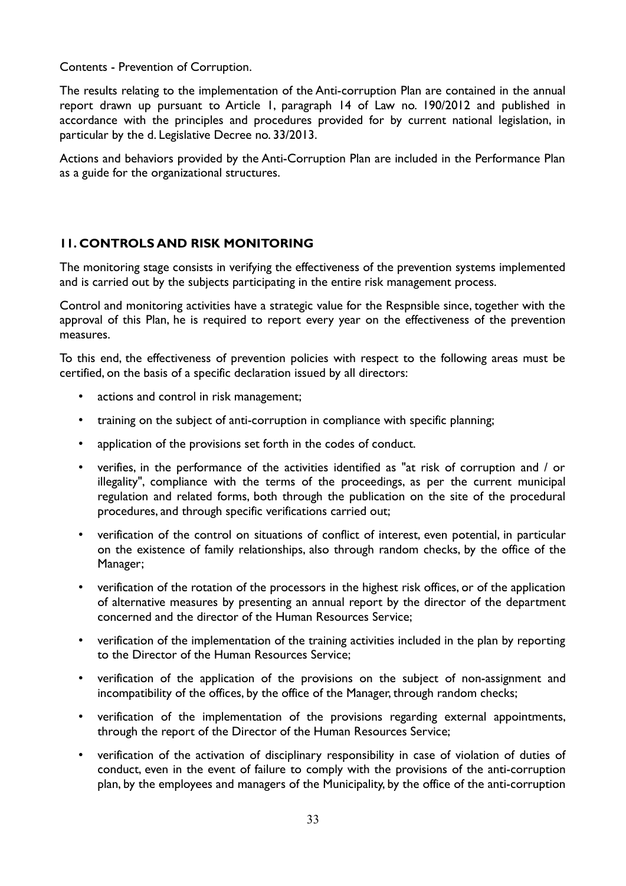Contents - Prevention of Corruption.

The results relating to the implementation of the Anti-corruption Plan are contained in the annual report drawn up pursuant to Article 1, paragraph 14 of Law no. 190/2012 and published in accordance with the principles and procedures provided for by current national legislation, in particular by the d. Legislative Decree no. 33/2013.

Actions and behaviors provided by the Anti-Corruption Plan are included in the Performance Plan as a guide for the organizational structures.

# **11. CONTROLS AND RISK MONITORING**

The monitoring stage consists in verifying the effectiveness of the prevention systems implemented and is carried out by the subjects participating in the entire risk management process.

Control and monitoring activities have a strategic value for the Respnsible since, together with the approval of this Plan, he is required to report every year on the effectiveness of the prevention measures.

To this end, the effectiveness of prevention policies with respect to the following areas must be certified, on the basis of a specific declaration issued by all directors:

- actions and control in risk management;
- training on the subject of anti-corruption in compliance with specific planning;
- application of the provisions set forth in the codes of conduct.
- verifies, in the performance of the activities identified as "at risk of corruption and / or illegality", compliance with the terms of the proceedings, as per the current municipal regulation and related forms, both through the publication on the site of the procedural procedures, and through specific verifications carried out;
- verification of the control on situations of conflict of interest, even potential, in particular on the existence of family relationships, also through random checks, by the office of the Manager;
- verification of the rotation of the processors in the highest risk offices, or of the application of alternative measures by presenting an annual report by the director of the department concerned and the director of the Human Resources Service;
- verification of the implementation of the training activities included in the plan by reporting to the Director of the Human Resources Service;
- verification of the application of the provisions on the subject of non-assignment and incompatibility of the offices, by the office of the Manager, through random checks;
- verification of the implementation of the provisions regarding external appointments, through the report of the Director of the Human Resources Service;
- verification of the activation of disciplinary responsibility in case of violation of duties of conduct, even in the event of failure to comply with the provisions of the anti-corruption plan, by the employees and managers of the Municipality, by the office of the anti-corruption